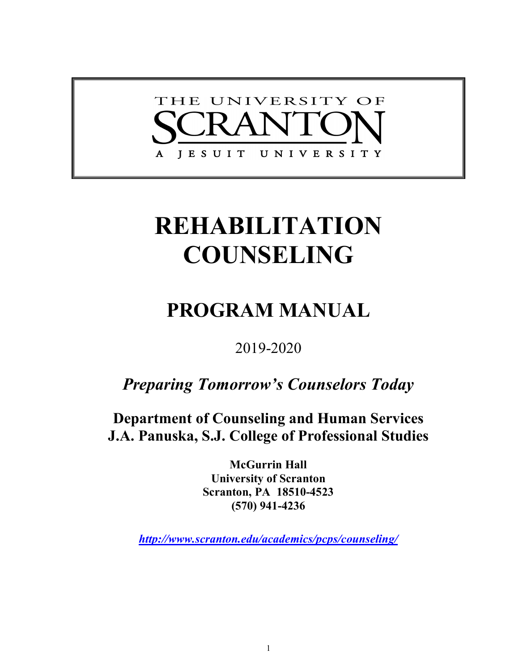

# **REHABILITATION COUNSELING**

# **PROGRAM MANUAL**

2019-2020

*Preparing Tomorrow's Counselors Today*

**Department of Counseling and Human Services J.A. Panuska, S.J. College of Professional Studies**

> **McGurrin Hall University of Scranton Scranton, PA 18510-4523 (570) 941-4236**

*http://www.scranton.edu/academics/pcps/counseling/*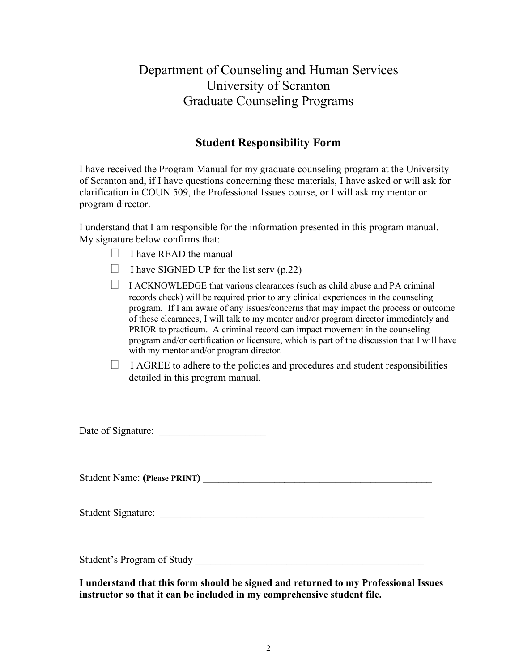# Department of Counseling and Human Services University of Scranton Graduate Counseling Programs

# **Student Responsibility Form**

I have received the Program Manual for my graduate counseling program at the University of Scranton and, if I have questions concerning these materials, I have asked or will ask for clarification in COUN 509, the Professional Issues course, or I will ask my mentor or program director.

I understand that I am responsible for the information presented in this program manual. My signature below confirms that:

- $\Box$  I have READ the manual
- $\Box$  I have SIGNED UP for the list serv (p.22)
- $\Box$  I ACKNOWLEDGE that various clearances (such as child abuse and PA criminal records check) will be required prior to any clinical experiences in the counseling program. If I am aware of any issues/concerns that may impact the process or outcome of these clearances, I will talk to my mentor and/or program director immediately and PRIOR to practicum. A criminal record can impact movement in the counseling program and/or certification or licensure, which is part of the discussion that I will have with my mentor and/or program director.
- $\Box$  I AGREE to adhere to the policies and procedures and student responsibilities detailed in this program manual.

Date of Signature: \_\_\_\_\_\_\_\_\_\_\_\_\_\_\_\_\_\_\_\_\_

Student Name: (Please PRINT)

Student Signature:

Student's Program of Study

**I understand that this form should be signed and returned to my Professional Issues instructor so that it can be included in my comprehensive student file.**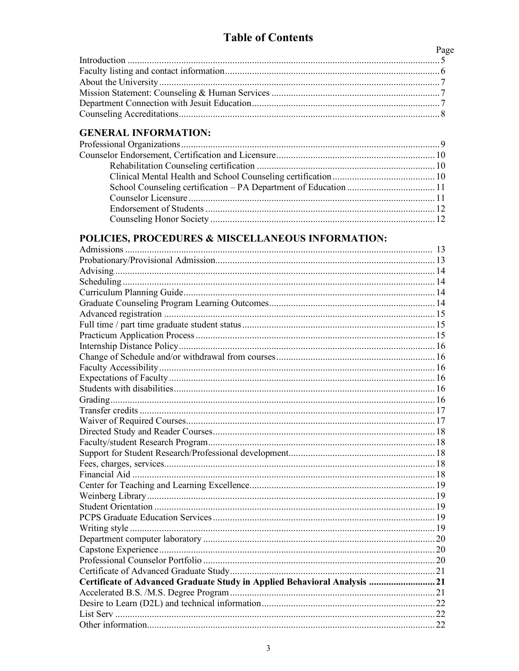| Page |
|------|
|      |
|      |
|      |
|      |
|      |
|      |

# **GENERAL INFORMATION:**

## POLICIES, PROCEDURES & MISCELLANEOUS INFORMATION:

| Certificate of Advanced Graduate Study in Applied Behavioral Analysis  21 |  |
|---------------------------------------------------------------------------|--|
|                                                                           |  |
|                                                                           |  |
|                                                                           |  |
|                                                                           |  |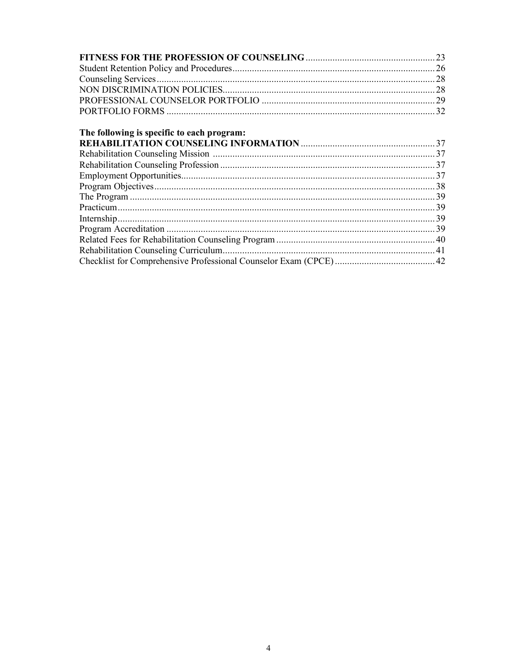|                                            | 23 |
|--------------------------------------------|----|
|                                            |    |
|                                            |    |
|                                            |    |
|                                            |    |
|                                            |    |
| The following is specific to each program: |    |
|                                            |    |
|                                            |    |
|                                            |    |
|                                            |    |
|                                            |    |
|                                            |    |
|                                            |    |
|                                            |    |
|                                            |    |
|                                            |    |
|                                            |    |
|                                            |    |
|                                            |    |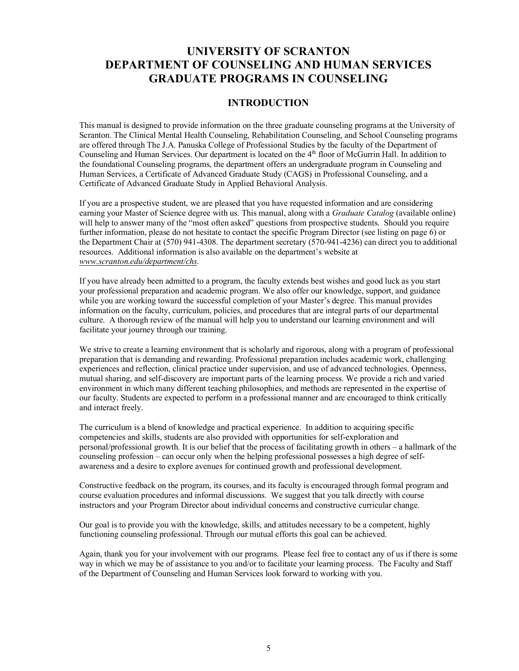# **UNIVERSITY OF SCRANTON DEPARTMENT OF COUNSELING AND HUMAN SERVICES GRADUATE PROGRAMS IN COUNSELING**

### **INTRODUCTION**

This manual is designed to provide information on the three graduate counseling programs at the University of Scranton. The Clinical Mental Health Counseling, Rehabilitation Counseling, and School Counseling programs are offered through The J.A. Panuska College of Professional Studies by the faculty of the Department of Counseling and Human Services. Our department is located on the 4<sup>th</sup> floor of McGurrin Hall. In addition to the foundational Counseling programs, the department offers an undergraduate program in Counseling and Human Services, a Certificate of Advanced Graduate Study (CAGS) in Professional Counseling, and a Certificate of Advanced Graduate Study in Applied Behavioral Analysis.

If you are a prospective student, we are pleased that you have requested information and are considering earning your Master of Science degree with us. This manual, along with a *Graduate Catalog* (available online) will help to answer many of the "most often asked" questions from prospective students. Should you require further information, please do not hesitate to contact the specific Program Director (see listing on page 6) or the Department Chair at (570) 941-4308. The department secretary (570-941-4236) can direct you to additional resources. Additional information is also available on the department's website at *www.scranton.edu/department/chs.*

If you have already been admitted to a program, the faculty extends best wishes and good luck as you start your professional preparation and academic program. We also offer our knowledge, support, and guidance while you are working toward the successful completion of your Master's degree. This manual provides information on the faculty, curriculum, policies, and procedures that are integral parts of our departmental culture. A thorough review of the manual will help you to understand our learning environment and will facilitate your journey through our training.

We strive to create a learning environment that is scholarly and rigorous, along with a program of professional preparation that is demanding and rewarding. Professional preparation includes academic work, challenging experiences and reflection, clinical practice under supervision, and use of advanced technologies. Openness, mutual sharing, and self-discovery are important parts of the learning process. We provide a rich and varied environment in which many different teaching philosophies, and methods are represented in the expertise of our faculty. Students are expected to perform in a professional manner and are encouraged to think critically and interact freely.

The curriculum is a blend of knowledge and practical experience. In addition to acquiring specific competencies and skills, students are also provided with opportunities for self-exploration and personal/professional growth. It is our belief that the process of facilitating growth in others – a hallmark of the counseling profession – can occur only when the helping professional possesses a high degree of selfawareness and a desire to explore avenues for continued growth and professional development.

Constructive feedback on the program, its courses, and its faculty is encouraged through formal program and course evaluation procedures and informal discussions. We suggest that you talk directly with course instructors and your Program Director about individual concerns and constructive curricular change.

Our goal is to provide you with the knowledge, skills, and attitudes necessary to be a competent, highly functioning counseling professional. Through our mutual efforts this goal can be achieved.

Again, thank you for your involvement with our programs. Please feel free to contact any of us if there is some way in which we may be of assistance to you and/or to facilitate your learning process. The Faculty and Staff of the Department of Counseling and Human Services look forward to working with you.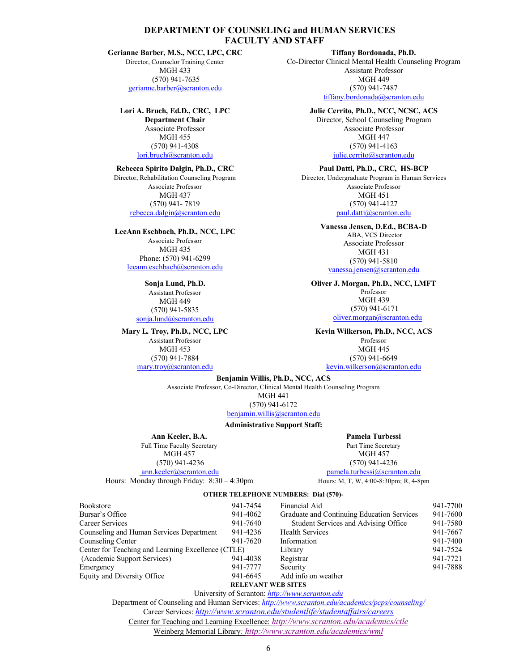#### **DEPARTMENT OF COUNSELING and HUMAN SERVICES FACULTY AND STAFF**

#### **Gerianne Barber, M.S., NCC, LPC, CRC**

Director, Counselor Training Center MGH 433 (570) 941-7635 gerianne.barber@scranton.edu

#### **Lori A. Bruch, Ed.D., CRC, LPC**

**Department Chair** Associate Professor MGH 455 (570) 941-4308 lori.bruch@scranton.edu

#### **Rebecca Spirito Dalgin, Ph.D., CRC**

Director, Rehabilitation Counseling Program Associate Professor MGH 437 (570) 941- 7819 rebecca.dalgin@scranton.edu

#### **LeeAnn Eschbach, Ph.D., NCC, LPC**

Associate Professor MGH 435 Phone: (570) 941-6299 leeann.eschbach@scranton.edu

**Sonja Lund, Ph.D.** Assistant Professor MGH 449 (570) 941-5835 sonja.lund@scranton.edu

#### **Mary L. Troy, Ph.D., NCC, LPC**

Assistant Professor MGH 453 (570) 941-7884 mary.troy@scranton.edu

**Tiffany Bordonada, Ph.D.** Co-Director Clinical Mental Health Counseling Program Assistant Professor MGH 449 (570) 941-7487 tiffany.bordonada@scranton.edu

#### **Julie Cerrito, Ph.D., NCC, NCSC, ACS**

Director, School Counseling Program Associate Professor MGH 447 (570) 941-4163 julie.cerrito@scranton.edu

#### **Paul Datti, Ph.D., CRC, HS-BCP**

Director, Undergraduate Program in Human Services Associate Professor MGH 451 (570) 941-4127 paul.datti@scranton.edu

#### **Vanessa Jensen, D.Ed., BCBA-D** ABA, VCS Director Associate Professor MGH 431 (570) 941-5810

vanessa.jensen@scranton.edu

#### **Oliver J. Morgan, Ph.D., NCC, LMFT**

Professor MGH 439 (570) 941-6171 oliver.morgan@scranton.edu

### **Kevin Wilkerson, Ph.D., NCC, ACS**

Professor MGH 445 (570) 941-6649 kevin.wilkerson@scranton.edu

#### **Benjamin Willis, Ph.D., NCC, ACS**

Associate Professor, Co-Director, Clinical Mental Health Counseling Program MGH 441 (570) 941-6172

benjamin.willis@scranton.edu

#### **Administrative Support Staff:**

**Ann Keeler, B.A.** Full Time Faculty Secretary MGH 457 (570) 941-4236 ann.keeler@scranton.edu Hours: Monday through Friday: 8:30 – 4:30pm

**Pamela Turbessi** Part Time Secretary MGH 457 (570) 941-4236 pamela.turbessi@scranton.edu

Hours: M, T, W, 4:00-8:30pm; R, 4-8pm

#### **OTHER TELEPHONE NUMBERS: Dial (570)-**

| <b>Bookstore</b>                                   | 941-7454                  | Financial Aid                              | 941-7700 |
|----------------------------------------------------|---------------------------|--------------------------------------------|----------|
| Bursar's Office                                    | 941-4062                  | Graduate and Continuing Education Services | 941-7600 |
| Career Services                                    | 941-7640                  | Student Services and Advising Office       | 941-7580 |
| Counseling and Human Services Department           | 941-4236                  | <b>Health Services</b>                     | 941-7667 |
| Counseling Center                                  | 941-7620                  | Information                                | 941-7400 |
| Center for Teaching and Learning Excellence (CTLE) |                           | Library                                    | 941-7524 |
| (Academic Support Services)                        | 941-4038                  | Registrar                                  | 941-7721 |
| Emergency                                          | 941-7777                  | Security                                   | 941-7888 |
| Equity and Diversity Office                        | 941-6645                  | Add info on weather                        |          |
|                                                    | <b>RELEVANT WEB SITES</b> |                                            |          |

University of Scranton: *http://www.scranton.edu* Department of Counseling and Human Services: *http://www.scranton.edu/academics/pcps/counseling/*

Career Services: *http://www.scranton.edu/studentlife/studentaffairs/careers*

Center for Teaching and Learning Excellence: *http://www.scranton.edu/academics/ctle*

Weinberg Memorial Library*: http://www.scranton.edu/academics/wml*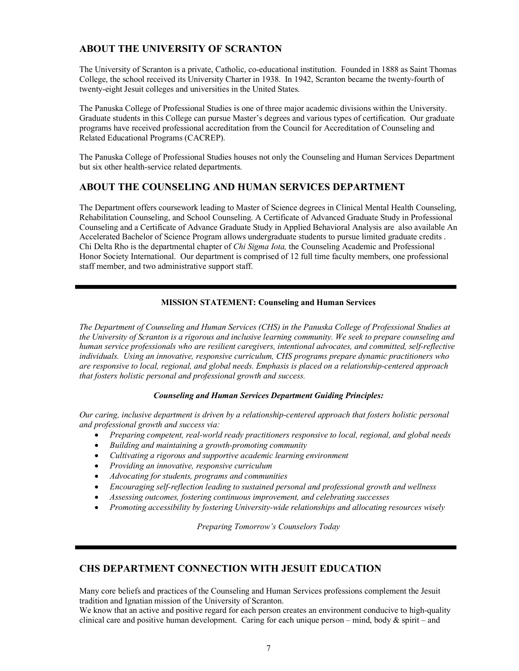### **ABOUT THE UNIVERSITY OF SCRANTON**

The University of Scranton is a private, Catholic, co-educational institution. Founded in 1888 as Saint Thomas College, the school received its University Charter in 1938. In 1942, Scranton became the twenty-fourth of twenty-eight Jesuit colleges and universities in the United States.

The Panuska College of Professional Studies is one of three major academic divisions within the University. Graduate students in this College can pursue Master's degrees and various types of certification. Our graduate programs have received professional accreditation from the Council for Accreditation of Counseling and Related Educational Programs (CACREP).

The Panuska College of Professional Studies houses not only the Counseling and Human Services Department but six other health-service related departments.

### **ABOUT THE COUNSELING AND HUMAN SERVICES DEPARTMENT**

The Department offers coursework leading to Master of Science degrees in Clinical Mental Health Counseling, Rehabilitation Counseling, and School Counseling. A Certificate of Advanced Graduate Study in Professional Counseling and a Certificate of Advance Graduate Study in Applied Behavioral Analysis are also available An Accelerated Bachelor of Science Program allows undergraduate students to pursue limited graduate credits . Chi Delta Rho is the departmental chapter of *Chi Sigma Iota,* the Counseling Academic and Professional Honor Society International. Our department is comprised of 12 full time faculty members, one professional staff member, and two administrative support staff.

#### **MISSION STATEMENT: Counseling and Human Services**

*The Department of Counseling and Human Services (CHS) in the Panuska College of Professional Studies at the University of Scranton is a rigorous and inclusive learning community. We seek to prepare counseling and human service professionals who are resilient caregivers, intentional advocates, and committed, self-reflective individuals. Using an innovative, responsive curriculum, CHS programs prepare dynamic practitioners who are responsive to local, regional, and global needs. Emphasis is placed on a relationship-centered approach that fosters holistic personal and professional growth and success.* 

#### *Counseling and Human Services Department Guiding Principles:*

*Our caring, inclusive department is driven by a relationship-centered approach that fosters holistic personal and professional growth and success via:*

- *Preparing competent, real-world ready practitioners responsive to local, regional, and global needs*
- *Building and maintaining a growth-promoting community*
- *Cultivating a rigorous and supportive academic learning environment*
- *Providing an innovative, responsive curriculum*
- *Advocating for students, programs and communities*
- *Encouraging self-reflection leading to sustained personal and professional growth and wellness*
- *Assessing outcomes, fostering continuous improvement, and celebrating successes*
- *Promoting accessibility by fostering University-wide relationships and allocating resources wisely*

*Preparing Tomorrow's Counselors Today*

### **CHS DEPARTMENT CONNECTION WITH JESUIT EDUCATION**

Many core beliefs and practices of the Counseling and Human Services professions complement the Jesuit tradition and Ignatian mission of the University of Scranton.

We know that an active and positive regard for each person creates an environment conducive to high-quality clinical care and positive human development. Caring for each unique person – mind, body  $\&$  spirit – and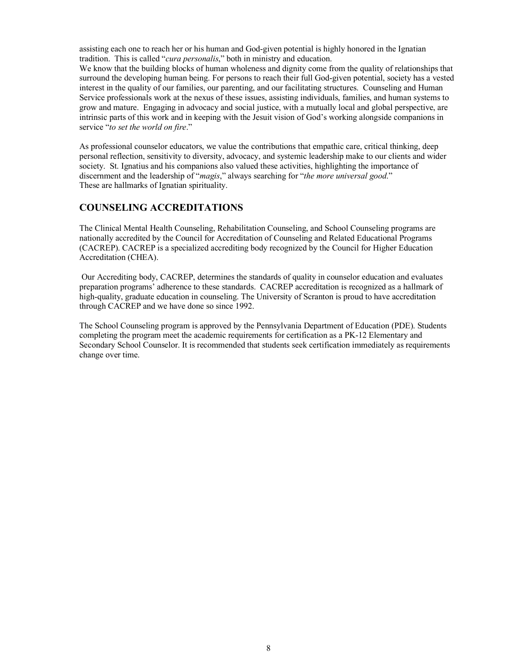assisting each one to reach her or his human and God-given potential is highly honored in the Ignatian tradition. This is called "*cura personalis*," both in ministry and education.

We know that the building blocks of human wholeness and dignity come from the quality of relationships that surround the developing human being. For persons to reach their full God-given potential, society has a vested interest in the quality of our families, our parenting, and our facilitating structures. Counseling and Human Service professionals work at the nexus of these issues, assisting individuals, families, and human systems to grow and mature. Engaging in advocacy and social justice, with a mutually local and global perspective, are intrinsic parts of this work and in keeping with the Jesuit vision of God's working alongside companions in service "*to set the world on fire*."

As professional counselor educators, we value the contributions that empathic care, critical thinking, deep personal reflection, sensitivity to diversity, advocacy, and systemic leadership make to our clients and wider society. St. Ignatius and his companions also valued these activities, highlighting the importance of discernment and the leadership of "*magis*," always searching for "*the more universal good*." These are hallmarks of Ignatian spirituality.

#### **COUNSELING ACCREDITATIONS**

The Clinical Mental Health Counseling, Rehabilitation Counseling, and School Counseling programs are nationally accredited by the Council for Accreditation of Counseling and Related Educational Programs (CACREP). CACREP is a specialized accrediting body recognized by the Council for Higher Education Accreditation (CHEA).

Our Accrediting body, CACREP, determines the standards of quality in counselor education and evaluates preparation programs' adherence to these standards. CACREP accreditation is recognized as a hallmark of high-quality, graduate education in counseling. The University of Scranton is proud to have accreditation through CACREP and we have done so since 1992.

The School Counseling program is approved by the Pennsylvania Department of Education (PDE). Students completing the program meet the academic requirements for certification as a PK-12 Elementary and Secondary School Counselor. It is recommended that students seek certification immediately as requirements change over time.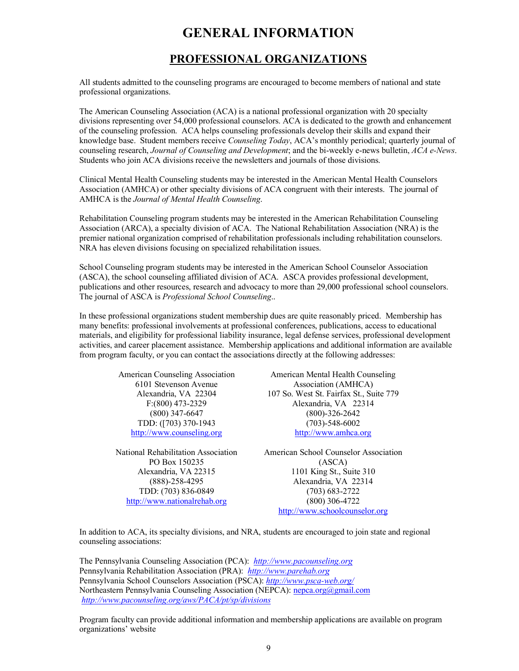# **GENERAL INFORMATION**

# **PROFESSIONAL ORGANIZATIONS**

All students admitted to the counseling programs are encouraged to become members of national and state professional organizations.

The American Counseling Association (ACA) is a national professional organization with 20 specialty divisions representing over 54,000 professional counselors. ACA is dedicated to the growth and enhancement of the counseling profession. ACA helps counseling professionals develop their skills and expand their knowledge base. Student members receive *Counseling Today*, ACA's monthly periodical; quarterly journal of counseling research, *Journal of Counseling and Development*; and the bi-weekly e-news bulletin, *ACA e-News*. Students who join ACA divisions receive the newsletters and journals of those divisions.

Clinical Mental Health Counseling students may be interested in the American Mental Health Counselors Association (AMHCA) or other specialty divisions of ACA congruent with their interests. The journal of AMHCA is the *Journal of Mental Health Counseling*.

Rehabilitation Counseling program students may be interested in the American Rehabilitation Counseling Association (ARCA), a specialty division of ACA. The National Rehabilitation Association (NRA) is the premier national organization comprised of rehabilitation professionals including rehabilitation counselors. NRA has eleven divisions focusing on specialized rehabilitation issues.

School Counseling program students may be interested in the American School Counselor Association (ASCA), the school counseling affiliated division of ACA. ASCA provides professional development, publications and other resources, research and advocacy to more than 29,000 professional school counselors. The journal of ASCA is *Professional School Counseling*..

In these professional organizations student membership dues are quite reasonably priced. Membership has many benefits: professional involvements at professional conferences, publications, access to educational materials, and eligibility for professional liability insurance, legal defense services, professional development activities, and career placement assistance. Membership applications and additional information are available from program faculty, or you can contact the associations directly at the following addresses:

> American Counseling Association 6101 Stevenson Avenue Alexandria, VA 22304 F:(800) 473-2329 (800) 347-6647 TDD: ([703) 370-1943 http://www.counseling.org

National Rehabilitation Association PO Box 150235 Alexandria, VA 22315 (888)-258-4295 TDD: (703) 836-0849 http://www.nationalrehab.org

American Mental Health Counseling Association (AMHCA) 107 So. West St. Fairfax St., Suite 779 Alexandria, VA 22314 (800)-326-2642 (703)-548-6002 http://www.amhca.org

American School Counselor Association (ASCA) 1101 King St., Suite 310 Alexandria, VA 22314 (703) 683-2722 (800) 306-4722 http://www.schoolcounselor.org

In addition to ACA, its specialty divisions, and NRA, students are encouraged to join state and regional counseling associations:

The Pennsylvania Counseling Association (PCA): *http://www.pacounseling.org* Pennsylvania Rehabilitation Association (PRA): *http://www.parehab.org* Pennsylvania School Counselors Association (PSCA): *http://www.psca-web.org/* Northeastern Pennsylvania Counseling Association (NEPCA): nepca.org@gmail.com *http://www.pacounseling.org/aws/PACA/pt/sp/divisions*

Program faculty can provide additional information and membership applications are available on program organizations' website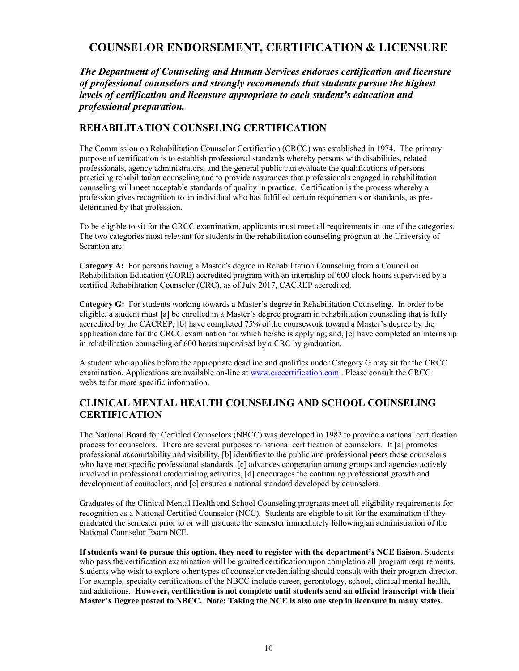# **COUNSELOR ENDORSEMENT, CERTIFICATION & LICENSURE**

*The Department of Counseling and Human Services endorses certification and licensure of professional counselors and strongly recommends that students pursue the highest levels of certification and licensure appropriate to each student's education and professional preparation.*

### **REHABILITATION COUNSELING CERTIFICATION**

The Commission on Rehabilitation Counselor Certification (CRCC) was established in 1974. The primary purpose of certification is to establish professional standards whereby persons with disabilities, related professionals, agency administrators, and the general public can evaluate the qualifications of persons practicing rehabilitation counseling and to provide assurances that professionals engaged in rehabilitation counseling will meet acceptable standards of quality in practice. Certification is the process whereby a profession gives recognition to an individual who has fulfilled certain requirements or standards, as predetermined by that profession.

To be eligible to sit for the CRCC examination, applicants must meet all requirements in one of the categories. The two categories most relevant for students in the rehabilitation counseling program at the University of Scranton are:

**Category A:** For persons having a Master's degree in Rehabilitation Counseling from a Council on Rehabilitation Education (CORE) accredited program with an internship of 600 clock-hours supervised by a certified Rehabilitation Counselor (CRC), as of July 2017, CACREP accredited.

**Category G:** For students working towards a Master's degree in Rehabilitation Counseling. In order to be eligible, a student must [a] be enrolled in a Master's degree program in rehabilitation counseling that is fully accredited by the CACREP; [b] have completed 75% of the coursework toward a Master's degree by the application date for the CRCC examination for which he/she is applying; and, [c] have completed an internship in rehabilitation counseling of 600 hours supervised by a CRC by graduation.

A student who applies before the appropriate deadline and qualifies under Category G may sit for the CRCC examination. Applications are available on-line at www.crccertification.com. Please consult the CRCC website for more specific information.

### **CLINICAL MENTAL HEALTH COUNSELING AND SCHOOL COUNSELING CERTIFICATION**

The National Board for Certified Counselors (NBCC) was developed in 1982 to provide a national certification process for counselors. There are several purposes to national certification of counselors. It [a] promotes professional accountability and visibility, [b] identifies to the public and professional peers those counselors who have met specific professional standards, [c] advances cooperation among groups and agencies actively involved in professional credentialing activities, [d] encourages the continuing professional growth and development of counselors, and [e] ensures a national standard developed by counselors.

Graduates of the Clinical Mental Health and School Counseling programs meet all eligibility requirements for recognition as a National Certified Counselor (NCC). Students are eligible to sit for the examination if they graduated the semester prior to or will graduate the semester immediately following an administration of the National Counselor Exam NCE.

**If students want to pursue this option, they need to register with the department's NCE liaison.** Students who pass the certification examination will be granted certification upon completion all program requirements. Students who wish to explore other types of counselor credentialing should consult with their program director. For example, specialty certifications of the NBCC include career, gerontology, school, clinical mental health, and addictions. **However, certification is not complete until students send an official transcript with their Master's Degree posted to NBCC. Note: Taking the NCE is also one step in licensure in many states.**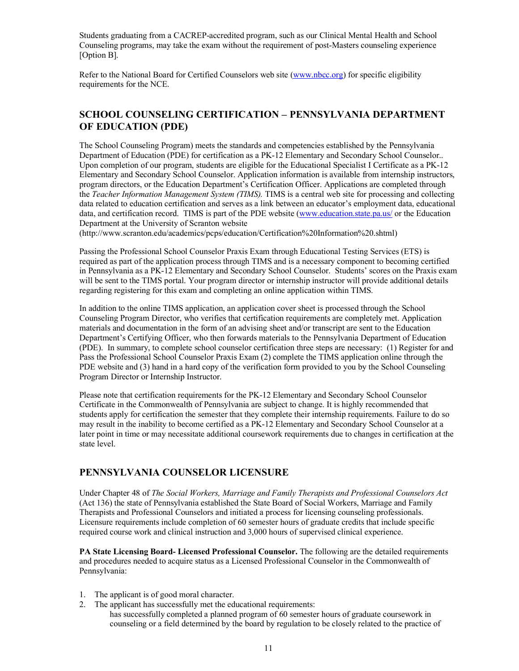Students graduating from a CACREP-accredited program, such as our Clinical Mental Health and School Counseling programs, may take the exam without the requirement of post-Masters counseling experience [Option B].

Refer to the National Board for Certified Counselors web site (www.nbcc.org) for specific eligibility requirements for the NCE.

### **SCHOOL COUNSELING CERTIFICATION – PENNSYLVANIA DEPARTMENT OF EDUCATION (PDE)**

The School Counseling Program) meets the standards and competencies established by the Pennsylvania Department of Education (PDE) for certification as a PK-12 Elementary and Secondary School Counselor.. Upon completion of our program, students are eligible for the Educational Specialist I Certificate as a PK-12 Elementary and Secondary School Counselor. Application information is available from internship instructors, program directors, or the Education Department's Certification Officer. Applications are completed through the *Teacher Information Management System (TIMS).* TIMS is a central web site for processing and collecting data related to education certification and serves as a link between an educator's employment data, educational data, and certification record. TIMS is part of the PDE website (www.education.state.pa.us/ or the Education Department at the University of Scranton website

(http://www.scranton.edu/academics/pcps/education/Certification%20Information%20.shtml)

Passing the Professional School Counselor Praxis Exam through Educational Testing Services (ETS) is required as part of the application process through TIMS and is a necessary component to becoming certified in Pennsylvania as a PK-12 Elementary and Secondary School Counselor. Students' scores on the Praxis exam will be sent to the TIMS portal. Your program director or internship instructor will provide additional details regarding registering for this exam and completing an online application within TIMS.

In addition to the online TIMS application, an application cover sheet is processed through the School Counseling Program Director, who verifies that certification requirements are completely met. Application materials and documentation in the form of an advising sheet and/or transcript are sent to the Education Department's Certifying Officer, who then forwards materials to the Pennsylvania Department of Education (PDE). In summary, to complete school counselor certification three steps are necessary: (1) Register for and Pass the Professional School Counselor Praxis Exam (2) complete the TIMS application online through the PDE website and (3) hand in a hard copy of the verification form provided to you by the School Counseling Program Director or Internship Instructor.

Please note that certification requirements for the PK-12 Elementary and Secondary School Counselor Certificate in the Commonwealth of Pennsylvania are subject to change. It is highly recommended that students apply for certification the semester that they complete their internship requirements. Failure to do so may result in the inability to become certified as a PK-12 Elementary and Secondary School Counselor at a later point in time or may necessitate additional coursework requirements due to changes in certification at the state level.

### **PENNSYLVANIA COUNSELOR LICENSURE**

Under Chapter 48 of *The Social Workers, Marriage and Family Therapists and Professional Counselors Act*  (Act 136) the state of Pennsylvania established the State Board of Social Workers, Marriage and Family Therapists and Professional Counselors and initiated a process for licensing counseling professionals. Licensure requirements include completion of 60 semester hours of graduate credits that include specific required course work and clinical instruction and 3,000 hours of supervised clinical experience.

**PA State Licensing Board- Licensed Professional Counselor.** The following are the detailed requirements and procedures needed to acquire status as a Licensed Professional Counselor in the Commonwealth of Pennsylvania:

- 1. The applicant is of good moral character.
- 2. The applicant has successfully met the educational requirements: has successfully completed a planned program of 60 semester hours of graduate coursework in counseling or a field determined by the board by regulation to be closely related to the practice of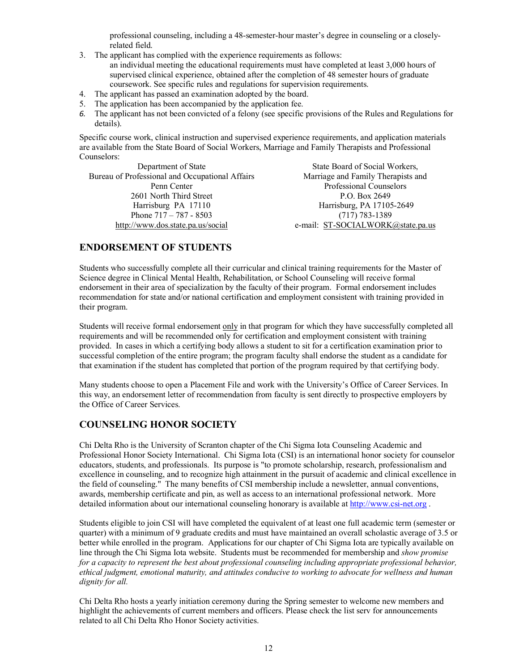professional counseling, including a 48-semester-hour master's degree in counseling or a closelyrelated field.

- 3. The applicant has complied with the experience requirements as follows: an individual meeting the educational requirements must have completed at least 3,000 hours of supervised clinical experience, obtained after the completion of 48 semester hours of graduate coursework. See specific rules and regulations for supervision requirements.
- 4. The applicant has passed an examination adopted by the board.
- 5. The application has been accompanied by the application fee.
- *6.* The applicant has not been convicted of a felony (see specific provisions of the Rules and Regulations for details).

Specific course work, clinical instruction and supervised experience requirements, and application materials are available from the State Board of Social Workers, Marriage and Family Therapists and Professional Counselors:

Department of State Bureau of Professional and Occupational Affairs Penn Center 2601 North Third Street Harrisburg PA 17110 Phone 717 – 787 - 8503 http://www.dos.state.pa.us/social

State Board of Social Workers, Marriage and Family Therapists and Professional Counselors P.O. Box 2649 Harrisburg, PA 17105-2649 (717) 783-1389 e-mail: ST-SOCIALWORK@state.pa.us

### **ENDORSEMENT OF STUDENTS**

Students who successfully complete all their curricular and clinical training requirements for the Master of Science degree in Clinical Mental Health, Rehabilitation, or School Counseling will receive formal endorsement in their area of specialization by the faculty of their program. Formal endorsement includes recommendation for state and/or national certification and employment consistent with training provided in their program.

Students will receive formal endorsement only in that program for which they have successfully completed all requirements and will be recommended only for certification and employment consistent with training provided. In cases in which a certifying body allows a student to sit for a certification examination prior to successful completion of the entire program; the program faculty shall endorse the student as a candidate for that examination if the student has completed that portion of the program required by that certifying body.

Many students choose to open a Placement File and work with the University's Office of Career Services. In this way, an endorsement letter of recommendation from faculty is sent directly to prospective employers by the Office of Career Services.

### **COUNSELING HONOR SOCIETY**

Chi Delta Rho is the University of Scranton chapter of the Chi Sigma Iota Counseling Academic and Professional Honor Society International. Chi Sigma Iota (CSI) is an international honor society for counselor educators, students, and professionals. Its purpose is "to promote scholarship, research, professionalism and excellence in counseling, and to recognize high attainment in the pursuit of academic and clinical excellence in the field of counseling." The many benefits of CSI membership include a newsletter, annual conventions, awards, membership certificate and pin, as well as access to an international professional network. More detailed information about our international counseling honorary is available at http://www.csi-net.org .

Students eligible to join CSI will have completed the equivalent of at least one full academic term (semester or quarter) with a minimum of 9 graduate credits and must have maintained an overall scholastic average of 3.5 or better while enrolled in the program. Applications for our chapter of Chi Sigma Iota are typically available on line through the Chi Sigma Iota website. Students must be recommended for membership and *show promise for a capacity to represent the best about professional counseling including appropriate professional behavior, ethical judgment, emotional maturity, and attitudes conducive to working to advocate for wellness and human dignity for all.*

Chi Delta Rho hosts a yearly initiation ceremony during the Spring semester to welcome new members and highlight the achievements of current members and officers. Please check the list serv for announcements related to all Chi Delta Rho Honor Society activities.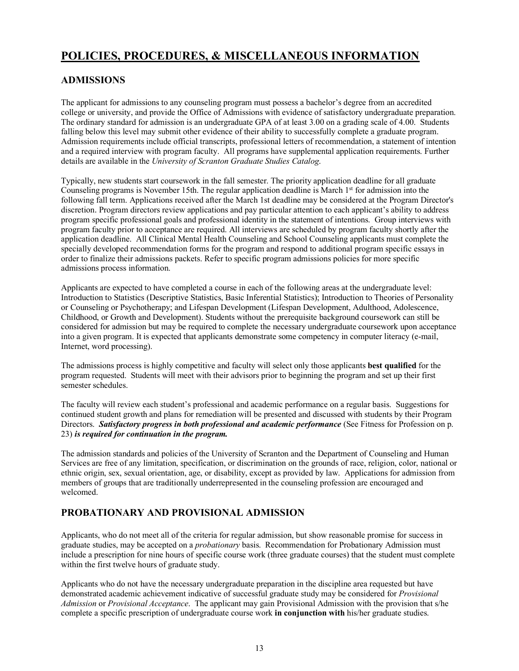# **POLICIES, PROCEDURES, & MISCELLANEOUS INFORMATION**

### **ADMISSIONS**

The applicant for admissions to any counseling program must possess a bachelor's degree from an accredited college or university, and provide the Office of Admissions with evidence of satisfactory undergraduate preparation. The ordinary standard for admission is an undergraduate GPA of at least 3.00 on a grading scale of 4.00. Students falling below this level may submit other evidence of their ability to successfully complete a graduate program. Admission requirements include official transcripts, professional letters of recommendation, a statement of intention and a required interview with program faculty. All programs have supplemental application requirements. Further details are available in the *University of Scranton Graduate Studies Catalog*.

Typically, new students start coursework in the fall semester. The priority application deadline for all graduate Counseling programs is November 15th. The regular application deadline is March  $1<sup>st</sup>$  for admission into the following fall term. Applications received after the March 1st deadline may be considered at the Program Director's discretion. Program directors review applications and pay particular attention to each applicant's ability to address program specific professional goals and professional identity in the statement of intentions. Group interviews with program faculty prior to acceptance are required. All interviews are scheduled by program faculty shortly after the application deadline. All Clinical Mental Health Counseling and School Counseling applicants must complete the specially developed recommendation forms for the program and respond to additional program specific essays in order to finalize their admissions packets. Refer to specific program admissions policies for more specific admissions process information.

Applicants are expected to have completed a course in each of the following areas at the undergraduate level: Introduction to Statistics (Descriptive Statistics, Basic Inferential Statistics); Introduction to Theories of Personality or Counseling or Psychotherapy; and Lifespan Development (Lifespan Development, Adulthood, Adolescence, Childhood, or Growth and Development). Students without the prerequisite background coursework can still be considered for admission but may be required to complete the necessary undergraduate coursework upon acceptance into a given program. It is expected that applicants demonstrate some competency in computer literacy (e-mail, Internet, word processing).

The admissions process is highly competitive and faculty will select only those applicants **best qualified** for the program requested. Students will meet with their advisors prior to beginning the program and set up their first semester schedules.

The faculty will review each student's professional and academic performance on a regular basis. Suggestions for continued student growth and plans for remediation will be presented and discussed with students by their Program Directors. *Satisfactory progress in both professional and academic performance* (See Fitness for Profession on p. 23) *is required for continuation in the program.*

The admission standards and policies of the University of Scranton and the Department of Counseling and Human Services are free of any limitation, specification, or discrimination on the grounds of race, religion, color, national or ethnic origin, sex, sexual orientation, age, or disability, except as provided by law. Applications for admission from members of groups that are traditionally underrepresented in the counseling profession are encouraged and welcomed.

### **PROBATIONARY AND PROVISIONAL ADMISSION**

Applicants, who do not meet all of the criteria for regular admission, but show reasonable promise for success in graduate studies, may be accepted on a *probationary* basis. Recommendation for Probationary Admission must include a prescription for nine hours of specific course work (three graduate courses) that the student must complete within the first twelve hours of graduate study.

Applicants who do not have the necessary undergraduate preparation in the discipline area requested but have demonstrated academic achievement indicative of successful graduate study may be considered for *Provisional Admission* or *Provisional Acceptance*. The applicant may gain Provisional Admission with the provision that s/he complete a specific prescription of undergraduate course work **in conjunction with** his/her graduate studies.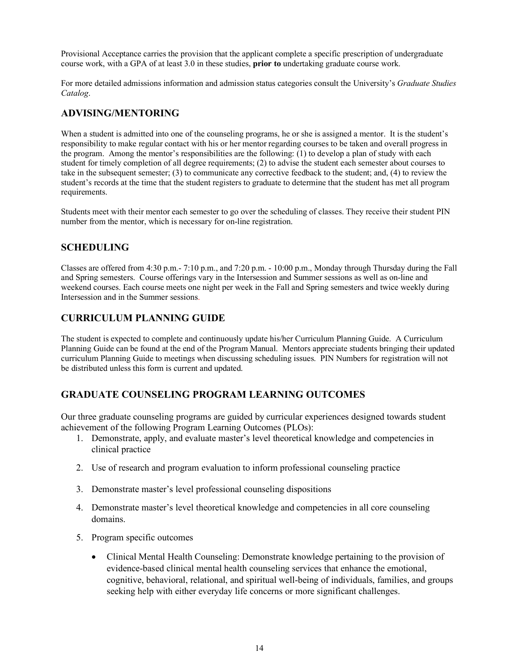Provisional Acceptance carries the provision that the applicant complete a specific prescription of undergraduate course work, with a GPA of at least 3.0 in these studies, **prior to** undertaking graduate course work.

For more detailed admissions information and admission status categories consult the University's *Graduate Studies Catalog*.

### **ADVISING/MENTORING**

When a student is admitted into one of the counseling programs, he or she is assigned a mentor. It is the student's responsibility to make regular contact with his or her mentor regarding courses to be taken and overall progress in the program. Among the mentor's responsibilities are the following: (1) to develop a plan of study with each student for timely completion of all degree requirements; (2) to advise the student each semester about courses to take in the subsequent semester; (3) to communicate any corrective feedback to the student; and, (4) to review the student's records at the time that the student registers to graduate to determine that the student has met all program requirements.

Students meet with their mentor each semester to go over the scheduling of classes. They receive their student PIN number from the mentor, which is necessary for on-line registration.

### **SCHEDULING**

Classes are offered from 4:30 p.m.- 7:10 p.m., and 7:20 p.m. - 10:00 p.m., Monday through Thursday during the Fall and Spring semesters. Course offerings vary in the Intersession and Summer sessions as well as on-line and weekend courses. Each course meets one night per week in the Fall and Spring semesters and twice weekly during Intersession and in the Summer sessions.

### **CURRICULUM PLANNING GUIDE**

The student is expected to complete and continuously update his/her Curriculum Planning Guide. A Curriculum Planning Guide can be found at the end of the Program Manual. Mentors appreciate students bringing their updated curriculum Planning Guide to meetings when discussing scheduling issues. PIN Numbers for registration will not be distributed unless this form is current and updated.

### **GRADUATE COUNSELING PROGRAM LEARNING OUTCOMES**

Our three graduate counseling programs are guided by curricular experiences designed towards student achievement of the following Program Learning Outcomes (PLOs):

- 1. Demonstrate, apply, and evaluate master's level theoretical knowledge and competencies in clinical practice
- 2. Use of research and program evaluation to inform professional counseling practice
- 3. Demonstrate master's level professional counseling dispositions
- 4. Demonstrate master's level theoretical knowledge and competencies in all core counseling domains.
- 5. Program specific outcomes
	- Clinical Mental Health Counseling: Demonstrate knowledge pertaining to the provision of evidence-based clinical mental health counseling services that enhance the emotional, cognitive, behavioral, relational, and spiritual well-being of individuals, families, and groups seeking help with either everyday life concerns or more significant challenges.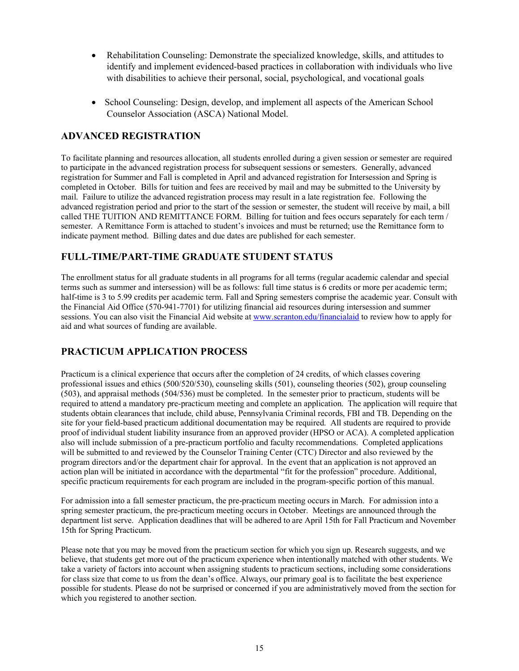- Rehabilitation Counseling: Demonstrate the specialized knowledge, skills, and attitudes to identify and implement evidenced-based practices in collaboration with individuals who live with disabilities to achieve their personal, social, psychological, and vocational goals
- School Counseling: Design, develop, and implement all aspects of the American School Counselor Association (ASCA) National Model.

### **ADVANCED REGISTRATION**

To facilitate planning and resources allocation, all students enrolled during a given session or semester are required to participate in the advanced registration process for subsequent sessions or semesters. Generally, advanced registration for Summer and Fall is completed in April and advanced registration for Intersession and Spring is completed in October. Bills for tuition and fees are received by mail and may be submitted to the University by mail. Failure to utilize the advanced registration process may result in a late registration fee. Following the advanced registration period and prior to the start of the session or semester, the student will receive by mail, a bill called THE TUITION AND REMITTANCE FORM. Billing for tuition and fees occurs separately for each term / semester. A Remittance Form is attached to student's invoices and must be returned; use the Remittance form to indicate payment method. Billing dates and due dates are published for each semester.

### **FULL-TIME/PART-TIME GRADUATE STUDENT STATUS**

The enrollment status for all graduate students in all programs for all terms (regular academic calendar and special terms such as summer and intersession) will be as follows: full time status is 6 credits or more per academic term; half-time is 3 to 5.99 credits per academic term. Fall and Spring semesters comprise the academic year. Consult with the Financial Aid Office (570-941-7701) for utilizing financial aid resources during intersession and summer sessions. You can also visit the Financial Aid website at www.scranton.edu/financialaid to review how to apply for aid and what sources of funding are available.

### **PRACTICUM APPLICATION PROCESS**

Practicum is a clinical experience that occurs after the completion of 24 credits, of which classes covering professional issues and ethics (500/520/530), counseling skills (501), counseling theories (502), group counseling (503), and appraisal methods (504/536) must be completed. In the semester prior to practicum, students will be required to attend a mandatory pre-practicum meeting and complete an application. The application will require that students obtain clearances that include, child abuse, Pennsylvania Criminal records, FBI and TB. Depending on the site for your field-based practicum additional documentation may be required. All students are required to provide proof of individual student liability insurance from an approved provider (HPSO or ACA). A completed application also will include submission of a pre-practicum portfolio and faculty recommendations. Completed applications will be submitted to and reviewed by the Counselor Training Center (CTC) Director and also reviewed by the program directors and/or the department chair for approval. In the event that an application is not approved an action plan will be initiated in accordance with the departmental "fit for the profession" procedure. Additional, specific practicum requirements for each program are included in the program-specific portion of this manual.

For admission into a fall semester practicum, the pre-practicum meeting occurs in March. For admission into a spring semester practicum, the pre-practicum meeting occurs in October. Meetings are announced through the department list serve. Application deadlines that will be adhered to are April 15th for Fall Practicum and November 15th for Spring Practicum.

Please note that you may be moved from the practicum section for which you sign up. Research suggests, and we believe, that students get more out of the practicum experience when intentionally matched with other students. We take a variety of factors into account when assigning students to practicum sections, including some considerations for class size that come to us from the dean's office. Always, our primary goal is to facilitate the best experience possible for students. Please do not be surprised or concerned if you are administratively moved from the section for which you registered to another section.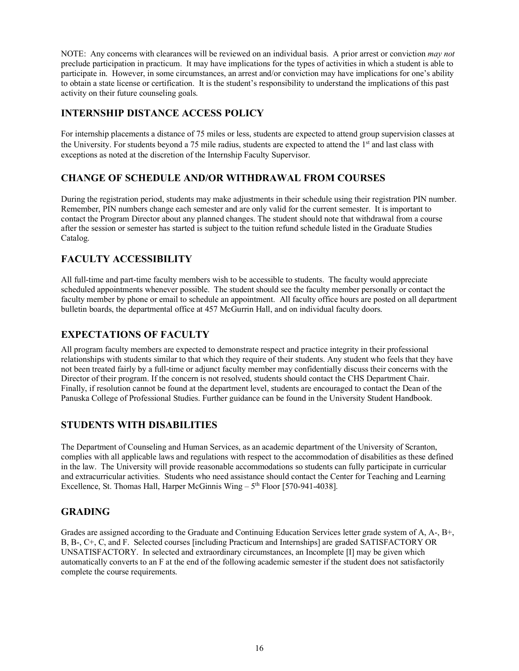NOTE: Any concerns with clearances will be reviewed on an individual basis. A prior arrest or conviction *may not* preclude participation in practicum. It may have implications for the types of activities in which a student is able to participate in. However, in some circumstances, an arrest and/or conviction may have implications for one's ability to obtain a state license or certification. It is the student's responsibility to understand the implications of this past activity on their future counseling goals.

### **INTERNSHIP DISTANCE ACCESS POLICY**

For internship placements a distance of 75 miles or less, students are expected to attend group supervision classes at the University. For students beyond a 75 mile radius, students are expected to attend the 1<sup>st</sup> and last class with exceptions as noted at the discretion of the Internship Faculty Supervisor.

### **CHANGE OF SCHEDULE AND/OR WITHDRAWAL FROM COURSES**

During the registration period, students may make adjustments in their schedule using their registration PIN number. Remember, PIN numbers change each semester and are only valid for the current semester. It is important to contact the Program Director about any planned changes. The student should note that withdrawal from a course after the session or semester has started is subject to the tuition refund schedule listed in the Graduate Studies Catalog.

### **FACULTY ACCESSIBILITY**

All full-time and part-time faculty members wish to be accessible to students. The faculty would appreciate scheduled appointments whenever possible. The student should see the faculty member personally or contact the faculty member by phone or email to schedule an appointment. All faculty office hours are posted on all department bulletin boards, the departmental office at 457 McGurrin Hall, and on individual faculty doors.

### **EXPECTATIONS OF FACULTY**

All program faculty members are expected to demonstrate respect and practice integrity in their professional relationships with students similar to that which they require of their students. Any student who feels that they have not been treated fairly by a full-time or adjunct faculty member may confidentially discuss their concerns with the Director of their program. If the concern is not resolved, students should contact the CHS Department Chair. Finally, if resolution cannot be found at the department level, students are encouraged to contact the Dean of the Panuska College of Professional Studies. Further guidance can be found in the University Student Handbook.

### **STUDENTS WITH DISABILITIES**

The Department of Counseling and Human Services, as an academic department of the University of Scranton, complies with all applicable laws and regulations with respect to the accommodation of disabilities as these defined in the law. The University will provide reasonable accommodations so students can fully participate in curricular and extracurricular activities. Students who need assistance should contact the Center for Teaching and Learning Excellence, St. Thomas Hall, Harper McGinnis Wing  $-5<sup>th</sup>$  Floor [570-941-4038].

### **GRADING**

Grades are assigned according to the Graduate and Continuing Education Services letter grade system of A, A-, B+, B, B-, C+, C, and F. Selected courses [including Practicum and Internships] are graded SATISFACTORY OR UNSATISFACTORY. In selected and extraordinary circumstances, an Incomplete [I] may be given which automatically converts to an F at the end of the following academic semester if the student does not satisfactorily complete the course requirements.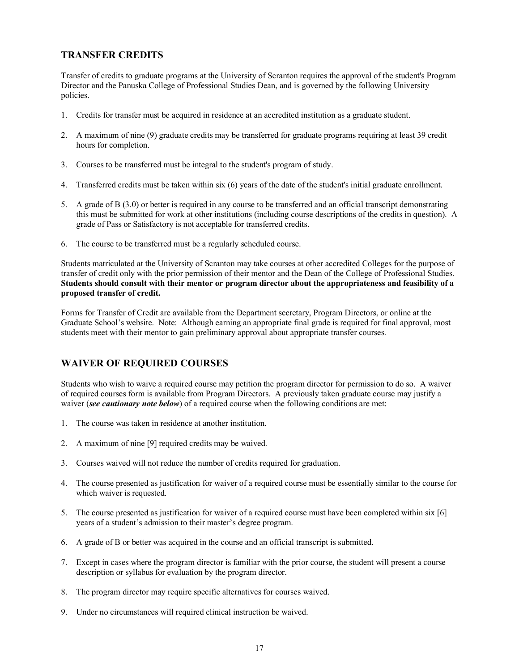### **TRANSFER CREDITS**

Transfer of credits to graduate programs at the University of Scranton requires the approval of the student's Program Director and the Panuska College of Professional Studies Dean, and is governed by the following University policies.

- 1. Credits for transfer must be acquired in residence at an accredited institution as a graduate student.
- 2. A maximum of nine (9) graduate credits may be transferred for graduate programs requiring at least 39 credit hours for completion.
- 3. Courses to be transferred must be integral to the student's program of study.
- 4. Transferred credits must be taken within six (6) years of the date of the student's initial graduate enrollment.
- 5. A grade of B (3.0) or better is required in any course to be transferred and an official transcript demonstrating this must be submitted for work at other institutions (including course descriptions of the credits in question). A grade of Pass or Satisfactory is not acceptable for transferred credits.
- 6. The course to be transferred must be a regularly scheduled course.

Students matriculated at the University of Scranton may take courses at other accredited Colleges for the purpose of transfer of credit only with the prior permission of their mentor and the Dean of the College of Professional Studies. **Students should consult with their mentor or program director about the appropriateness and feasibility of a proposed transfer of credit.**

Forms for Transfer of Credit are available from the Department secretary, Program Directors, or online at the Graduate School's website. Note: Although earning an appropriate final grade is required for final approval, most students meet with their mentor to gain preliminary approval about appropriate transfer courses.

### **WAIVER OF REQUIRED COURSES**

Students who wish to waive a required course may petition the program director for permission to do so. A waiver of required courses form is available from Program Directors. A previously taken graduate course may justify a waiver *(see cautionary note below)* of a required course when the following conditions are met:

- 1. The course was taken in residence at another institution.
- 2. A maximum of nine [9] required credits may be waived.
- 3. Courses waived will not reduce the number of credits required for graduation.
- 4. The course presented as justification for waiver of a required course must be essentially similar to the course for which waiver is requested.
- 5. The course presented as justification for waiver of a required course must have been completed within six [6] years of a student's admission to their master's degree program.
- 6. A grade of B or better was acquired in the course and an official transcript is submitted.
- 7. Except in cases where the program director is familiar with the prior course, the student will present a course description or syllabus for evaluation by the program director.
- 8. The program director may require specific alternatives for courses waived.
- 9. Under no circumstances will required clinical instruction be waived.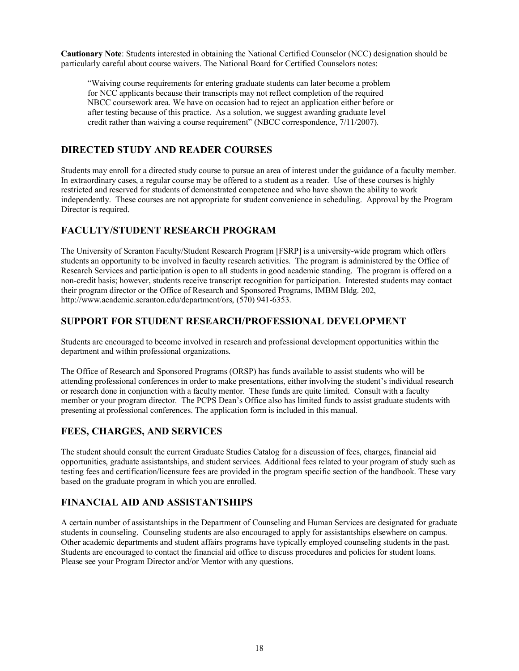**Cautionary Note**: Students interested in obtaining the National Certified Counselor (NCC) designation should be particularly careful about course waivers. The National Board for Certified Counselors notes:

"Waiving course requirements for entering graduate students can later become a problem for NCC applicants because their transcripts may not reflect completion of the required NBCC coursework area. We have on occasion had to reject an application either before or after testing because of this practice. As a solution, we suggest awarding graduate level credit rather than waiving a course requirement" (NBCC correspondence, 7/11/2007).

### **DIRECTED STUDY AND READER COURSES**

Students may enroll for a directed study course to pursue an area of interest under the guidance of a faculty member. In extraordinary cases, a regular course may be offered to a student as a reader. Use of these courses is highly restricted and reserved for students of demonstrated competence and who have shown the ability to work independently. These courses are not appropriate for student convenience in scheduling. Approval by the Program Director is required.

### **FACULTY/STUDENT RESEARCH PROGRAM**

The University of Scranton Faculty/Student Research Program [FSRP] is a university-wide program which offers students an opportunity to be involved in faculty research activities. The program is administered by the Office of Research Services and participation is open to all students in good academic standing. The program is offered on a non-credit basis; however, students receive transcript recognition for participation. Interested students may contact their program director or the Office of Research and Sponsored Programs, IMBM Bldg. 202, http://www.academic.scranton.edu/department/ors, (570) 941-6353.

### **SUPPORT FOR STUDENT RESEARCH/PROFESSIONAL DEVELOPMENT**

Students are encouraged to become involved in research and professional development opportunities within the department and within professional organizations.

The Office of Research and Sponsored Programs (ORSP) has funds available to assist students who will be attending professional conferences in order to make presentations, either involving the student's individual research or research done in conjunction with a faculty mentor. These funds are quite limited. Consult with a faculty member or your program director. The PCPS Dean's Office also has limited funds to assist graduate students with presenting at professional conferences. The application form is included in this manual.

### **FEES, CHARGES, AND SERVICES**

The student should consult the current Graduate Studies Catalog for a discussion of fees, charges, financial aid opportunities, graduate assistantships, and student services. Additional fees related to your program of study such as testing fees and certification/licensure fees are provided in the program specific section of the handbook. These vary based on the graduate program in which you are enrolled.

### **FINANCIAL AID AND ASSISTANTSHIPS**

A certain number of assistantships in the Department of Counseling and Human Services are designated for graduate students in counseling. Counseling students are also encouraged to apply for assistantships elsewhere on campus. Other academic departments and student affairs programs have typically employed counseling students in the past. Students are encouraged to contact the financial aid office to discuss procedures and policies for student loans. Please see your Program Director and/or Mentor with any questions.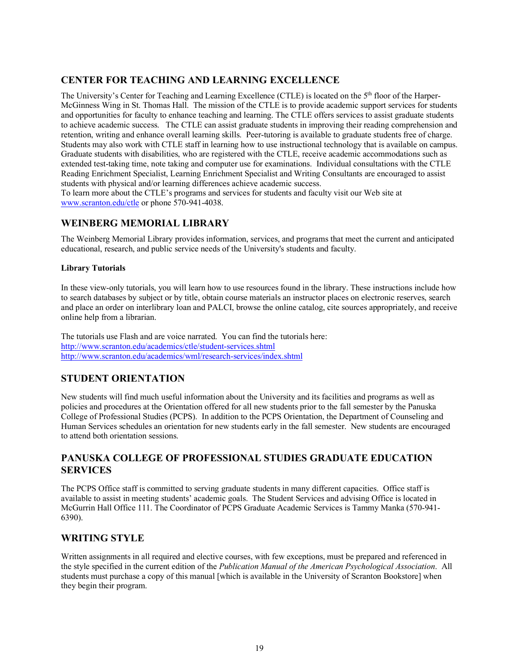### **CENTER FOR TEACHING AND LEARNING EXCELLENCE**

The University's Center for Teaching and Learning Excellence (CTLE) is located on the 5th floor of the Harper-McGinness Wing in St. Thomas Hall. The mission of the CTLE is to provide academic support services for students and opportunities for faculty to enhance teaching and learning. The CTLE offers services to assist graduate students to achieve academic success. The CTLE can assist graduate students in improving their reading comprehension and retention, writing and enhance overall learning skills. Peer-tutoring is available to graduate students free of charge. Students may also work with CTLE staff in learning how to use instructional technology that is available on campus. Graduate students with disabilities, who are registered with the CTLE, receive academic accommodations such as extended test-taking time, note taking and computer use for examinations. Individual consultations with the CTLE Reading Enrichment Specialist, Learning Enrichment Specialist and Writing Consultants are encouraged to assist students with physical and/or learning differences achieve academic success.

To learn more about the CTLE's programs and services for students and faculty visit our Web site at www.scranton.edu/ctle or phone 570-941-4038.

### **WEINBERG MEMORIAL LIBRARY**

The Weinberg Memorial Library provides information, services, and programs that meet the current and anticipated educational, research, and public service needs of the University's students and faculty.

#### **Library Tutorials**

In these view-only tutorials, you will learn how to use resources found in the library. These instructions include how to search databases by subject or by title, obtain course materials an instructor places on electronic reserves, search and place an order on interlibrary loan and PALCI, browse the online catalog, cite sources appropriately, and receive online help from a librarian.

The tutorials use Flash and are voice narrated. You can find the tutorials here: http://www.scranton.edu/academics/ctle/student-services.shtml http://www.scranton.edu/academics/wml/research-services/index.shtml

### **STUDENT ORIENTATION**

New students will find much useful information about the University and its facilities and programs as well as policies and procedures at the Orientation offered for all new students prior to the fall semester by the Panuska College of Professional Studies (PCPS). In addition to the PCPS Orientation, the Department of Counseling and Human Services schedules an orientation for new students early in the fall semester. New students are encouraged to attend both orientation sessions.

### **PANUSKA COLLEGE OF PROFESSIONAL STUDIES GRADUATE EDUCATION SERVICES**

The PCPS Office staff is committed to serving graduate students in many different capacities. Office staff is available to assist in meeting students' academic goals. The Student Services and advising Office is located in McGurrin Hall Office 111. The Coordinator of PCPS Graduate Academic Services is Tammy Manka (570-941- 6390).

### **WRITING STYLE**

Written assignments in all required and elective courses, with few exceptions, must be prepared and referenced in the style specified in the current edition of the *Publication Manual of the American Psychological Association*. All students must purchase a copy of this manual [which is available in the University of Scranton Bookstore] when they begin their program.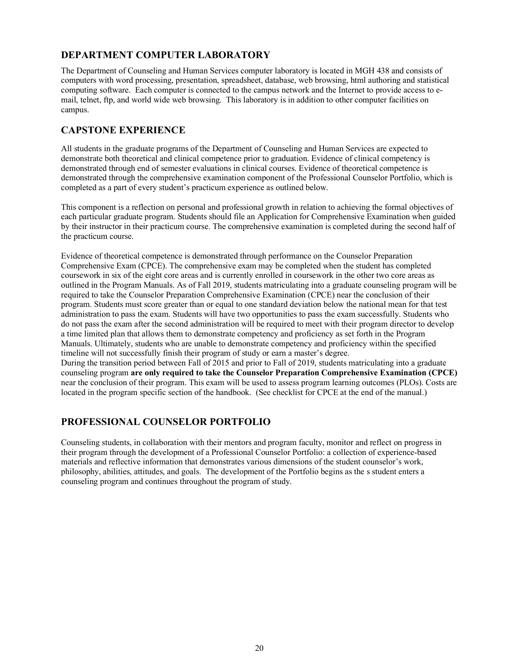### **DEPARTMENT COMPUTER LABORATORY**

The Department of Counseling and Human Services computer laboratory is located in MGH 438 and consists of computers with word processing, presentation, spreadsheet, database, web browsing, html authoring and statistical computing software. Each computer is connected to the campus network and the Internet to provide access to email, telnet, ftp, and world wide web browsing. This laboratory is in addition to other computer facilities on campus.

### **CAPSTONE EXPERIENCE**

All students in the graduate programs of the Department of Counseling and Human Services are expected to demonstrate both theoretical and clinical competence prior to graduation. Evidence of clinical competency is demonstrated through end of semester evaluations in clinical courses. Evidence of theoretical competence is demonstrated through the comprehensive examination component of the Professional Counselor Portfolio, which is completed as a part of every student's practicum experience as outlined below.

This component is a reflection on personal and professional growth in relation to achieving the formal objectives of each particular graduate program. Students should file an Application for Comprehensive Examination when guided by their instructor in their practicum course. The comprehensive examination is completed during the second half of the practicum course.

Evidence of theoretical competence is demonstrated through performance on the Counselor Preparation Comprehensive Exam (CPCE). The comprehensive exam may be completed when the student has completed coursework in six of the eight core areas and is currently enrolled in coursework in the other two core areas as outlined in the Program Manuals. As of Fall 2019, students matriculating into a graduate counseling program will be required to take the Counselor Preparation Comprehensive Examination (CPCE) near the conclusion of their program. Students must score greater than or equal to one standard deviation below the national mean for that test administration to pass the exam. Students will have two opportunities to pass the exam successfully. Students who do not pass the exam after the second administration will be required to meet with their program director to develop a time limited plan that allows them to demonstrate competency and proficiency as set forth in the Program Manuals. Ultimately, students who are unable to demonstrate competency and proficiency within the specified timeline will not successfully finish their program of study or earn a master's degree. During the transition period between Fall of 2015 and prior to Fall of 2019, students matriculating into a graduate counseling program **are only required to take the Counselor Preparation Comprehensive Examination (CPCE)** near the conclusion of their program. This exam will be used to assess program learning outcomes (PLOs). Costs are located in the program specific section of the handbook. (See checklist for CPCE at the end of the manual.)

### **PROFESSIONAL COUNSELOR PORTFOLIO**

Counseling students, in collaboration with their mentors and program faculty, monitor and reflect on progress in their program through the development of a Professional Counselor Portfolio: a collection of experience-based materials and reflective information that demonstrates various dimensions of the student counselor's work, philosophy, abilities, attitudes, and goals. The development of the Portfolio begins as the s student enters a counseling program and continues throughout the program of study.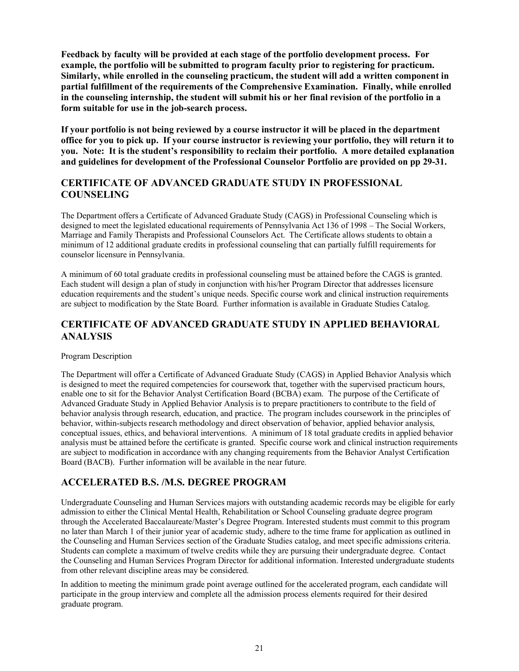**Feedback by faculty will be provided at each stage of the portfolio development process. For example, the portfolio will be submitted to program faculty prior to registering for practicum. Similarly, while enrolled in the counseling practicum, the student will add a written component in partial fulfillment of the requirements of the Comprehensive Examination. Finally, while enrolled in the counseling internship, the student will submit his or her final revision of the portfolio in a form suitable for use in the job-search process.** 

**If your portfolio is not being reviewed by a course instructor it will be placed in the department office for you to pick up. If your course instructor is reviewing your portfolio, they will return it to you. Note: It is the student's responsibility to reclaim their portfolio. A more detailed explanation and guidelines for development of the Professional Counselor Portfolio are provided on pp 29-31.**

### **CERTIFICATE OF ADVANCED GRADUATE STUDY IN PROFESSIONAL COUNSELING**

The Department offers a Certificate of Advanced Graduate Study (CAGS) in Professional Counseling which is designed to meet the legislated educational requirements of Pennsylvania Act 136 of 1998 – The Social Workers, Marriage and Family Therapists and Professional Counselors Act. The Certificate allows students to obtain a minimum of 12 additional graduate credits in professional counseling that can partially fulfill requirements for counselor licensure in Pennsylvania.

A minimum of 60 total graduate credits in professional counseling must be attained before the CAGS is granted. Each student will design a plan of study in conjunction with his/her Program Director that addresses licensure education requirements and the student's unique needs. Specific course work and clinical instruction requirements are subject to modification by the State Board. Further information is available in Graduate Studies Catalog.

### **CERTIFICATE OF ADVANCED GRADUATE STUDY IN APPLIED BEHAVIORAL ANALYSIS**

#### Program Description

The Department will offer a Certificate of Advanced Graduate Study (CAGS) in Applied Behavior Analysis which is designed to meet the required competencies for coursework that, together with the supervised practicum hours, enable one to sit for the Behavior Analyst Certification Board (BCBA) exam. The purpose of the Certificate of Advanced Graduate Study in Applied Behavior Analysis is to prepare practitioners to contribute to the field of behavior analysis through research, education, and practice. The program includes coursework in the principles of behavior, within-subjects research methodology and direct observation of behavior, applied behavior analysis, conceptual issues, ethics, and behavioral interventions. A minimum of 18 total graduate credits in applied behavior analysis must be attained before the certificate is granted. Specific course work and clinical instruction requirements are subject to modification in accordance with any changing requirements from the Behavior Analyst Certification Board (BACB). Further information will be available in the near future.

### **ACCELERATED B.S. /M.S. DEGREE PROGRAM**

Undergraduate Counseling and Human Services majors with outstanding academic records may be eligible for early admission to either the Clinical Mental Health, Rehabilitation or School Counseling graduate degree program through the Accelerated Baccalaureate/Master's Degree Program. Interested students must commit to this program no later than March 1 of their junior year of academic study, adhere to the time frame for application as outlined in the Counseling and Human Services section of the Graduate Studies catalog, and meet specific admissions criteria. Students can complete a maximum of twelve credits while they are pursuing their undergraduate degree. Contact the Counseling and Human Services Program Director for additional information. Interested undergraduate students from other relevant discipline areas may be considered.

In addition to meeting the minimum grade point average outlined for the accelerated program, each candidate will participate in the group interview and complete all the admission process elements required for their desired graduate program.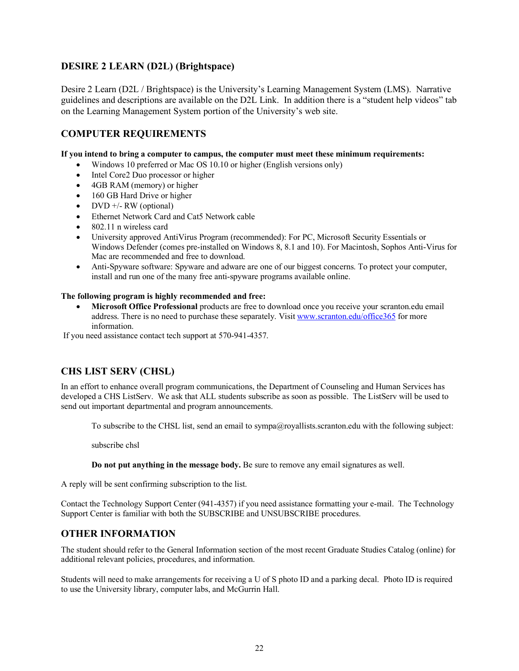### **DESIRE 2 LEARN (D2L) (Brightspace)**

Desire 2 Learn (D2L / Brightspace) is the University's Learning Management System (LMS). Narrative guidelines and descriptions are available on the D2L Link. In addition there is a "student help videos" tab on the Learning Management System portion of the University's web site.

### **COMPUTER REQUIREMENTS**

**If you intend to bring a computer to campus, the computer must meet these minimum requirements:**

- Windows 10 preferred or Mac OS 10.10 or higher (English versions only)
- Intel Core2 Duo processor or higher
- 4GB RAM (memory) or higher
- 160 GB Hard Drive or higher
- DVD  $+/-$  RW (optional)
- Ethernet Network Card and Cat5 Network cable
- 802.11 n wireless card
- University approved AntiVirus Program (recommended): For PC, Microsoft Security Essentials or Windows Defender (comes pre-installed on Windows 8, 8.1 and 10). For Macintosh, Sophos Anti-Virus for Mac are recommended and free to download.
- Anti-Spyware software: Spyware and adware are one of our biggest concerns. To protect your computer, install and run one of the many free anti-spyware programs available online.

#### **The following program is highly recommended and free:**

• **Microsoft Office Professional** products are free to download once you receive your scranton.edu email address. There is no need to purchase these separately. Visit www.scranton.edu/office365 for more information.

If you need assistance contact tech support at 570-941-4357.

### **CHS LIST SERV (CHSL)**

In an effort to enhance overall program communications, the Department of Counseling and Human Services has developed a CHS ListServ. We ask that ALL students subscribe as soon as possible. The ListServ will be used to send out important departmental and program announcements.

To subscribe to the CHSL list, send an email to sympa@royallists.scranton.edu with the following subject:

subscribe chsl

**Do not put anything in the message body.** Be sure to remove any email signatures as well.

A reply will be sent confirming subscription to the list.

Contact the Technology Support Center (941-4357) if you need assistance formatting your e-mail. The Technology Support Center is familiar with both the SUBSCRIBE and UNSUBSCRIBE procedures.

### **OTHER INFORMATION**

The student should refer to the General Information section of the most recent Graduate Studies Catalog (online) for additional relevant policies, procedures, and information.

Students will need to make arrangements for receiving a U of S photo ID and a parking decal. Photo ID is required to use the University library, computer labs, and McGurrin Hall.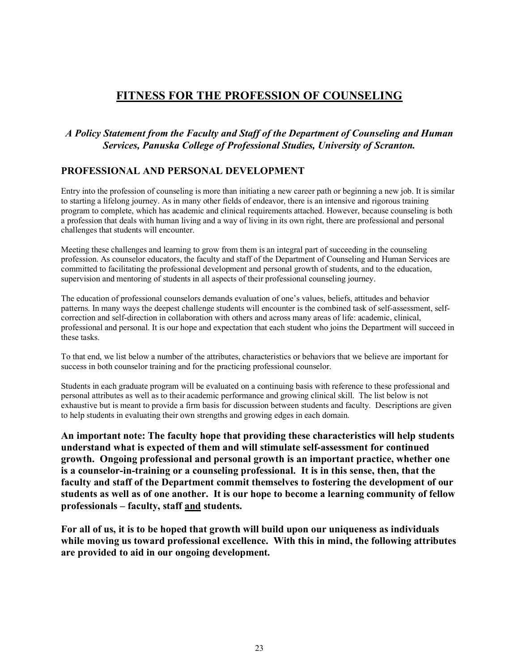# **FITNESS FOR THE PROFESSION OF COUNSELING**

### *A Policy Statement from the Faculty and Staff of the Department of Counseling and Human Services, Panuska College of Professional Studies, University of Scranton.*

### **PROFESSIONAL AND PERSONAL DEVELOPMENT**

Entry into the profession of counseling is more than initiating a new career path or beginning a new job. It is similar to starting a lifelong journey. As in many other fields of endeavor, there is an intensive and rigorous training program to complete, which has academic and clinical requirements attached. However, because counseling is both a profession that deals with human living and a way of living in its own right, there are professional and personal challenges that students will encounter.

Meeting these challenges and learning to grow from them is an integral part of succeeding in the counseling profession. As counselor educators, the faculty and staff of the Department of Counseling and Human Services are committed to facilitating the professional development and personal growth of students, and to the education, supervision and mentoring of students in all aspects of their professional counseling journey.

The education of professional counselors demands evaluation of one's values, beliefs, attitudes and behavior patterns. In many ways the deepest challenge students will encounter is the combined task of self-assessment, selfcorrection and self-direction in collaboration with others and across many areas of life: academic, clinical, professional and personal. It is our hope and expectation that each student who joins the Department will succeed in these tasks.

To that end, we list below a number of the attributes, characteristics or behaviors that we believe are important for success in both counselor training and for the practicing professional counselor.

Students in each graduate program will be evaluated on a continuing basis with reference to these professional and personal attributes as well as to their academic performance and growing clinical skill. The list below is not exhaustive but is meant to provide a firm basis for discussion between students and faculty. Descriptions are given to help students in evaluating their own strengths and growing edges in each domain.

**An important note: The faculty hope that providing these characteristics will help students understand what is expected of them and will stimulate self-assessment for continued growth. Ongoing professional and personal growth is an important practice, whether one is a counselor-in-training or a counseling professional. It is in this sense, then, that the faculty and staff of the Department commit themselves to fostering the development of our students as well as of one another. It is our hope to become a learning community of fellow professionals – faculty, staff and students.** 

**For all of us, it is to be hoped that growth will build upon our uniqueness as individuals while moving us toward professional excellence. With this in mind, the following attributes are provided to aid in our ongoing development.**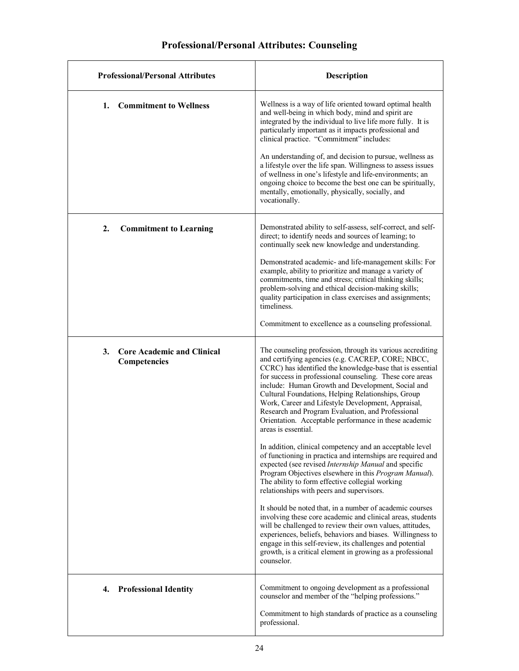# **Professional/Personal Attributes: Counseling**

| <b>Professional/Personal Attributes</b>                 | <b>Description</b>                                                                                                                                                                                                                                                                                                                                                                                                                                                                                                                             |
|---------------------------------------------------------|------------------------------------------------------------------------------------------------------------------------------------------------------------------------------------------------------------------------------------------------------------------------------------------------------------------------------------------------------------------------------------------------------------------------------------------------------------------------------------------------------------------------------------------------|
| <b>Commitment to Wellness</b><br>1.                     | Wellness is a way of life oriented toward optimal health<br>and well-being in which body, mind and spirit are<br>integrated by the individual to live life more fully. It is<br>particularly important as it impacts professional and<br>clinical practice. "Commitment" includes:                                                                                                                                                                                                                                                             |
|                                                         | An understanding of, and decision to pursue, wellness as<br>a lifestyle over the life span. Willingness to assess issues<br>of wellness in one's lifestyle and life-environments; an<br>ongoing choice to become the best one can be spiritually,<br>mentally, emotionally, physically, socially, and<br>vocationally.                                                                                                                                                                                                                         |
| 2.<br><b>Commitment to Learning</b>                     | Demonstrated ability to self-assess, self-correct, and self-<br>direct; to identify needs and sources of learning; to<br>continually seek new knowledge and understanding.                                                                                                                                                                                                                                                                                                                                                                     |
|                                                         | Demonstrated academic- and life-management skills: For<br>example, ability to prioritize and manage a variety of<br>commitments, time and stress; critical thinking skills;<br>problem-solving and ethical decision-making skills;<br>quality participation in class exercises and assignments;<br>timeliness.                                                                                                                                                                                                                                 |
|                                                         | Commitment to excellence as a counseling professional.                                                                                                                                                                                                                                                                                                                                                                                                                                                                                         |
| 3.<br><b>Core Academic and Clinical</b><br>Competencies | The counseling profession, through its various accrediting<br>and certifying agencies (e.g. CACREP, CORE; NBCC,<br>CCRC) has identified the knowledge-base that is essential<br>for success in professional counseling. These core areas<br>include: Human Growth and Development, Social and<br>Cultural Foundations, Helping Relationships, Group<br>Work, Career and Lifestyle Development, Appraisal,<br>Research and Program Evaluation, and Professional<br>Orientation. Acceptable performance in these academic<br>areas is essential. |
|                                                         | In addition, clinical competency and an acceptable level<br>of functioning in practica and internships are required and<br>expected (see revised Internship Manual and specific<br>Program Objectives elsewhere in this Program Manual).<br>The ability to form effective collegial working<br>relationships with peers and supervisors.                                                                                                                                                                                                       |
|                                                         | It should be noted that, in a number of academic courses<br>involving these core academic and clinical areas, students<br>will be challenged to review their own values, attitudes,<br>experiences, beliefs, behaviors and biases. Willingness to<br>engage in this self-review, its challenges and potential<br>growth, is a critical element in growing as a professional<br>counselor.                                                                                                                                                      |
| <b>Professional Identity</b><br>4.                      | Commitment to ongoing development as a professional<br>counselor and member of the "helping professions."                                                                                                                                                                                                                                                                                                                                                                                                                                      |
|                                                         | Commitment to high standards of practice as a counseling<br>professional.                                                                                                                                                                                                                                                                                                                                                                                                                                                                      |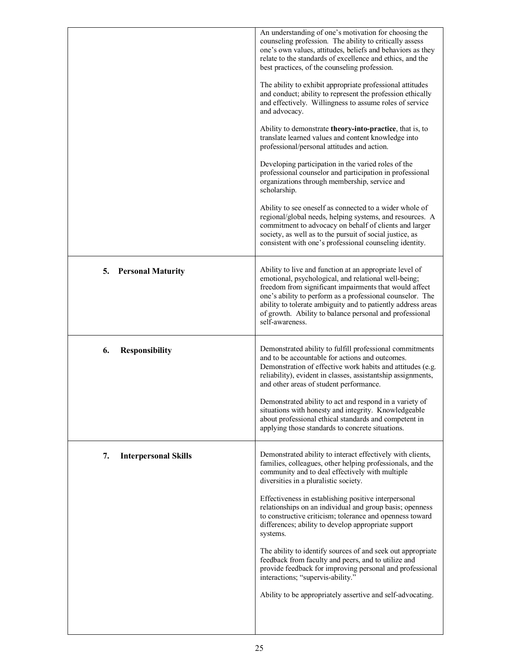|                                   | An understanding of one's motivation for choosing the<br>counseling profession. The ability to critically assess<br>one's own values, attitudes, beliefs and behaviors as they<br>relate to the standards of excellence and ethics, and the<br>best practices, of the counseling profession.<br>The ability to exhibit appropriate professional attitudes<br>and conduct; ability to represent the profession ethically<br>and effectively. Willingness to assume roles of service<br>and advocacy. |
|-----------------------------------|-----------------------------------------------------------------------------------------------------------------------------------------------------------------------------------------------------------------------------------------------------------------------------------------------------------------------------------------------------------------------------------------------------------------------------------------------------------------------------------------------------|
|                                   | Ability to demonstrate theory-into-practice, that is, to<br>translate learned values and content knowledge into<br>professional/personal attitudes and action.                                                                                                                                                                                                                                                                                                                                      |
|                                   | Developing participation in the varied roles of the<br>professional counselor and participation in professional<br>organizations through membership, service and<br>scholarship.                                                                                                                                                                                                                                                                                                                    |
|                                   | Ability to see oneself as connected to a wider whole of<br>regional/global needs, helping systems, and resources. A<br>commitment to advocacy on behalf of clients and larger<br>society, as well as to the pursuit of social justice, as<br>consistent with one's professional counseling identity.                                                                                                                                                                                                |
| 5.<br><b>Personal Maturity</b>    | Ability to live and function at an appropriate level of<br>emotional, psychological, and relational well-being;<br>freedom from significant impairments that would affect<br>one's ability to perform as a professional counselor. The<br>ability to tolerate ambiguity and to patiently address areas<br>of growth. Ability to balance personal and professional<br>self-awareness.                                                                                                                |
| 6.<br><b>Responsibility</b>       | Demonstrated ability to fulfill professional commitments<br>and to be accountable for actions and outcomes.<br>Demonstration of effective work habits and attitudes (e.g.<br>reliability), evident in classes, assistantship assignments,<br>and other areas of student performance.                                                                                                                                                                                                                |
|                                   | Demonstrated ability to act and respond in a variety of<br>situations with honesty and integrity. Knowledgeable<br>about professional ethical standards and competent in<br>applying those standards to concrete situations.                                                                                                                                                                                                                                                                        |
| 7.<br><b>Interpersonal Skills</b> | Demonstrated ability to interact effectively with clients,<br>families, colleagues, other helping professionals, and the<br>community and to deal effectively with multiple<br>diversities in a pluralistic society.                                                                                                                                                                                                                                                                                |
|                                   | Effectiveness in establishing positive interpersonal<br>relationships on an individual and group basis; openness<br>to constructive criticism; tolerance and openness toward<br>differences; ability to develop appropriate support<br>systems.                                                                                                                                                                                                                                                     |
|                                   | The ability to identify sources of and seek out appropriate<br>feedback from faculty and peers, and to utilize and<br>provide feedback for improving personal and professional<br>interactions; "supervis-ability."                                                                                                                                                                                                                                                                                 |
|                                   | Ability to be appropriately assertive and self-advocating.                                                                                                                                                                                                                                                                                                                                                                                                                                          |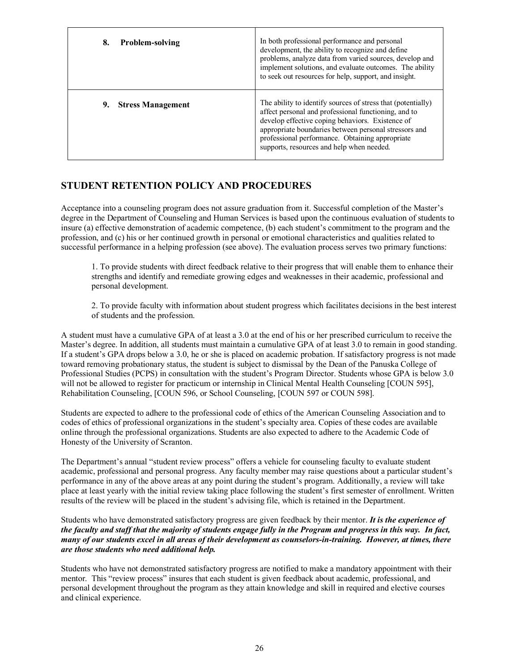| <b>Problem-solving</b><br>8.   | In both professional performance and personal<br>development, the ability to recognize and define<br>problems, analyze data from varied sources, develop and<br>implement solutions, and evaluate outcomes. The ability<br>to seek out resources for help, support, and insight.                                                  |
|--------------------------------|-----------------------------------------------------------------------------------------------------------------------------------------------------------------------------------------------------------------------------------------------------------------------------------------------------------------------------------|
| <b>Stress Management</b><br>9. | The ability to identify sources of stress that (potentially)<br>affect personal and professional functioning, and to<br>develop effective coping behaviors. Existence of<br>appropriate boundaries between personal stressors and<br>professional performance. Obtaining appropriate<br>supports, resources and help when needed. |

### **STUDENT RETENTION POLICY AND PROCEDURES**

Acceptance into a counseling program does not assure graduation from it. Successful completion of the Master's degree in the Department of Counseling and Human Services is based upon the continuous evaluation of students to insure (a) effective demonstration of academic competence, (b) each student's commitment to the program and the profession, and (c) his or her continued growth in personal or emotional characteristics and qualities related to successful performance in a helping profession (see above). The evaluation process serves two primary functions:

1. To provide students with direct feedback relative to their progress that will enable them to enhance their strengths and identify and remediate growing edges and weaknesses in their academic, professional and personal development.

2. To provide faculty with information about student progress which facilitates decisions in the best interest of students and the profession.

A student must have a cumulative GPA of at least a 3.0 at the end of his or her prescribed curriculum to receive the Master's degree. In addition, all students must maintain a cumulative GPA of at least 3.0 to remain in good standing. If a student's GPA drops below a 3.0, he or she is placed on academic probation. If satisfactory progress is not made toward removing probationary status, the student is subject to dismissal by the Dean of the Panuska College of Professional Studies (PCPS) in consultation with the student's Program Director. Students whose GPA is below 3.0 will not be allowed to register for practicum or internship in Clinical Mental Health Counseling [COUN 595], Rehabilitation Counseling, [COUN 596, or School Counseling, [COUN 597 or COUN 598].

Students are expected to adhere to the professional code of ethics of the American Counseling Association and to codes of ethics of professional organizations in the student's specialty area. Copies of these codes are available online through the professional organizations. Students are also expected to adhere to the Academic Code of Honesty of the University of Scranton.

The Department's annual "student review process" offers a vehicle for counseling faculty to evaluate student academic, professional and personal progress. Any faculty member may raise questions about a particular student's performance in any of the above areas at any point during the student's program. Additionally, a review will take place at least yearly with the initial review taking place following the student's first semester of enrollment. Written results of the review will be placed in the student's advising file, which is retained in the Department.

Students who have demonstrated satisfactory progress are given feedback by their mentor. *It is the experience of the faculty and staff that the majority of students engage fully in the Program and progress in this way. In fact, many of our students excel in all areas of their development as counselors-in-training. However, at times, there are those students who need additional help.*

Students who have not demonstrated satisfactory progress are notified to make a mandatory appointment with their mentor. This "review process" insures that each student is given feedback about academic, professional, and personal development throughout the program as they attain knowledge and skill in required and elective courses and clinical experience.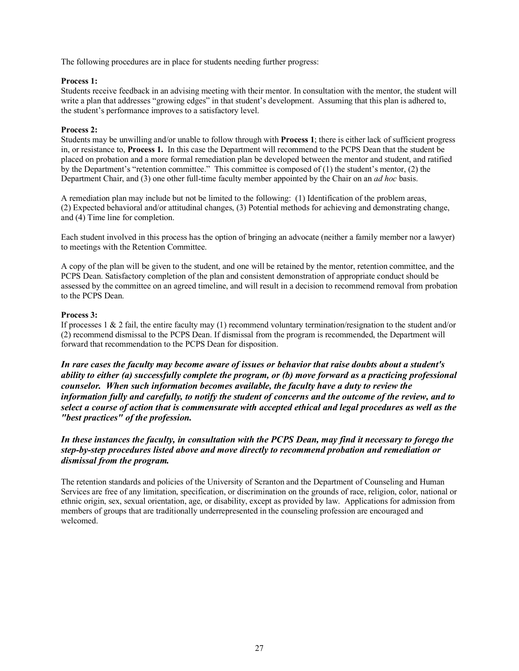The following procedures are in place for students needing further progress:

#### **Process 1:**

Students receive feedback in an advising meeting with their mentor. In consultation with the mentor, the student will write a plan that addresses "growing edges" in that student's development. Assuming that this plan is adhered to, the student's performance improves to a satisfactory level.

#### **Process 2:**

Students may be unwilling and/or unable to follow through with **Process 1**; there is either lack of sufficient progress in, or resistance to, **Process 1.** In this case the Department will recommend to the PCPS Dean that the student be placed on probation and a more formal remediation plan be developed between the mentor and student, and ratified by the Department's "retention committee." This committee is composed of (1) the student's mentor, (2) the Department Chair, and (3) one other full-time faculty member appointed by the Chair on an *ad hoc* basis.

A remediation plan may include but not be limited to the following: (1) Identification of the problem areas, (2) Expected behavioral and/or attitudinal changes, (3) Potential methods for achieving and demonstrating change, and (4) Time line for completion.

Each student involved in this process has the option of bringing an advocate (neither a family member nor a lawyer) to meetings with the Retention Committee.

A copy of the plan will be given to the student, and one will be retained by the mentor, retention committee, and the PCPS Dean. Satisfactory completion of the plan and consistent demonstration of appropriate conduct should be assessed by the committee on an agreed timeline, and will result in a decision to recommend removal from probation to the PCPS Dean.

#### **Process 3:**

If processes 1 & 2 fail, the entire faculty may (1) recommend voluntary termination/resignation to the student and/or (2) recommend dismissal to the PCPS Dean. If dismissal from the program is recommended, the Department will forward that recommendation to the PCPS Dean for disposition.

*In rare cases the faculty may become aware of issues or behavior that raise doubts about a student's ability to either (a) successfully complete the program, or (b) move forward as a practicing professional counselor. When such information becomes available, the faculty have a duty to review the information fully and carefully, to notify the student of concerns and the outcome of the review, and to select a course of action that is commensurate with accepted ethical and legal procedures as well as the "best practices" of the profession.*

*In these instances the faculty, in consultation with the PCPS Dean, may find it necessary to forego the step-by-step procedures listed above and move directly to recommend probation and remediation or dismissal from the program.*

The retention standards and policies of the University of Scranton and the Department of Counseling and Human Services are free of any limitation, specification, or discrimination on the grounds of race, religion, color, national or ethnic origin, sex, sexual orientation, age, or disability, except as provided by law. Applications for admission from members of groups that are traditionally underrepresented in the counseling profession are encouraged and welcomed.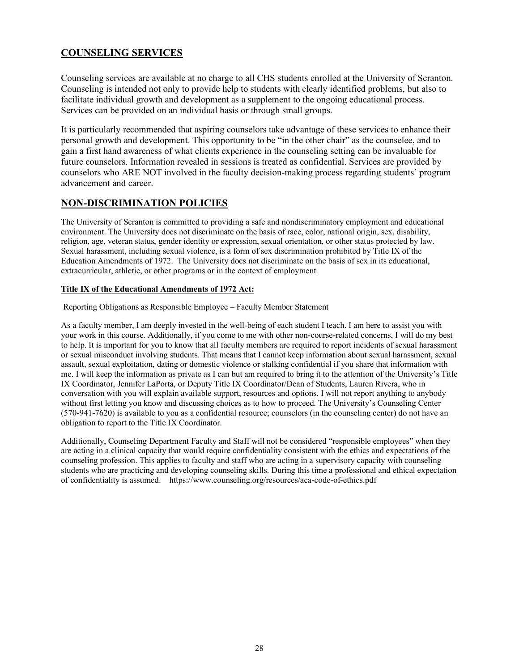### **COUNSELING SERVICES**

Counseling services are available at no charge to all CHS students enrolled at the University of Scranton. Counseling is intended not only to provide help to students with clearly identified problems, but also to facilitate individual growth and development as a supplement to the ongoing educational process. Services can be provided on an individual basis or through small groups.

It is particularly recommended that aspiring counselors take advantage of these services to enhance their personal growth and development. This opportunity to be "in the other chair" as the counselee, and to gain a first hand awareness of what clients experience in the counseling setting can be invaluable for future counselors. Information revealed in sessions is treated as confidential. Services are provided by counselors who ARE NOT involved in the faculty decision-making process regarding students' program advancement and career.

### **NON-DISCRIMINATION POLICIES**

The University of Scranton is committed to providing a safe and nondiscriminatory employment and educational environment. The University does not discriminate on the basis of race, color, national origin, sex, disability, religion, age, veteran status, gender identity or expression, sexual orientation, or other status protected by law. Sexual harassment, including sexual violence, is a form of sex discrimination prohibited by Title IX of the Education Amendments of 1972. The University does not discriminate on the basis of sex in its educational, extracurricular, athletic, or other programs or in the context of employment.

#### **Title IX of the Educational Amendments of 1972 Act:**

Reporting Obligations as Responsible Employee – Faculty Member Statement

As a faculty member, I am deeply invested in the well-being of each student I teach. I am here to assist you with your work in this course. Additionally, if you come to me with other non-course-related concerns, I will do my best to help. It is important for you to know that all faculty members are required to report incidents of sexual harassment or sexual misconduct involving students. That means that I cannot keep information about sexual harassment, sexual assault, sexual exploitation, dating or domestic violence or stalking confidential if you share that information with me. I will keep the information as private as I can but am required to bring it to the attention of the University's Title IX Coordinator, Jennifer LaPorta, or Deputy Title IX Coordinator/Dean of Students, Lauren Rivera, who in conversation with you will explain available support, resources and options. I will not report anything to anybody without first letting you know and discussing choices as to how to proceed. The University's Counseling Center (570-941-7620) is available to you as a confidential resource; counselors (in the counseling center) do not have an obligation to report to the Title IX Coordinator.

Additionally, Counseling Department Faculty and Staff will not be considered "responsible employees" when they are acting in a clinical capacity that would require confidentiality consistent with the ethics and expectations of the counseling profession. This applies to faculty and staff who are acting in a supervisory capacity with counseling students who are practicing and developing counseling skills. During this time a professional and ethical expectation of confidentiality is assumed. https://www.counseling.org/resources/aca-code-of-ethics.pdf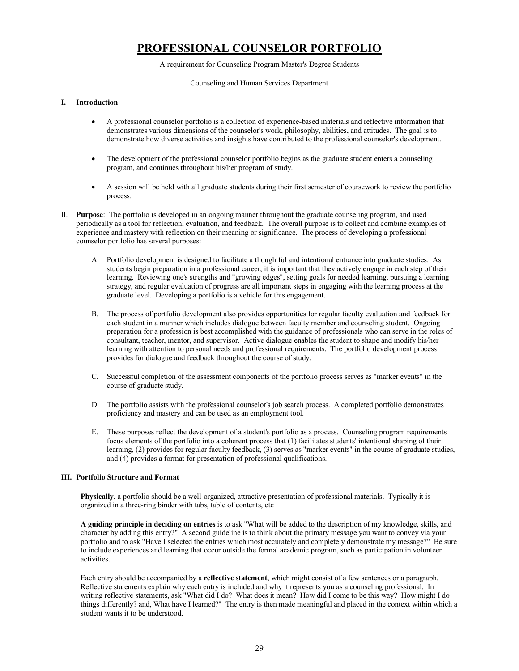# **PROFESSIONAL COUNSELOR PORTFOLIO**

#### A requirement for Counseling Program Master's Degree Students

#### Counseling and Human Services Department

#### **I. Introduction**

- A professional counselor portfolio is a collection of experience-based materials and reflective information that demonstrates various dimensions of the counselor's work, philosophy, abilities, and attitudes. The goal is to demonstrate how diverse activities and insights have contributed to the professional counselor's development.
- The development of the professional counselor portfolio begins as the graduate student enters a counseling program, and continues throughout his/her program of study.
- A session will be held with all graduate students during their first semester of coursework to review the portfolio process.
- II. **Purpose**: The portfolio is developed in an ongoing manner throughout the graduate counseling program, and used periodically as a tool for reflection, evaluation, and feedback. The overall purpose is to collect and combine examples of experience and mastery with reflection on their meaning or significance. The process of developing a professional counselor portfolio has several purposes:
	- A. Portfolio development is designed to facilitate a thoughtful and intentional entrance into graduate studies. As students begin preparation in a professional career, it is important that they actively engage in each step of their learning. Reviewing one's strengths and "growing edges", setting goals for needed learning, pursuing a learning strategy, and regular evaluation of progress are all important steps in engaging with the learning process at the graduate level. Developing a portfolio is a vehicle for this engagement.
	- B. The process of portfolio development also provides opportunities for regular faculty evaluation and feedback for each student in a manner which includes dialogue between faculty member and counseling student. Ongoing preparation for a profession is best accomplished with the guidance of professionals who can serve in the roles of consultant, teacher, mentor, and supervisor. Active dialogue enables the student to shape and modify his/her learning with attention to personal needs and professional requirements. The portfolio development process provides for dialogue and feedback throughout the course of study.
	- C. Successful completion of the assessment components of the portfolio process serves as "marker events" in the course of graduate study.
	- D. The portfolio assists with the professional counselor's job search process. A completed portfolio demonstrates proficiency and mastery and can be used as an employment tool.
	- E. These purposes reflect the development of a student's portfolio as a process. Counseling program requirements focus elements of the portfolio into a coherent process that (1) facilitates students' intentional shaping of their learning, (2) provides for regular faculty feedback, (3) serves as "marker events" in the course of graduate studies, and (4) provides a format for presentation of professional qualifications.

#### **III. Portfolio Structure and Format**

**Physically**, a portfolio should be a well-organized, attractive presentation of professional materials. Typically it is organized in a three-ring binder with tabs, table of contents, etc

**A guiding principle in deciding on entries** is to ask "What will be added to the description of my knowledge, skills, and character by adding this entry?" A second guideline is to think about the primary message you want to convey via your portfolio and to ask "Have I selected the entries which most accurately and completely demonstrate my message?" Be sure to include experiences and learning that occur outside the formal academic program, such as participation in volunteer activities.

Each entry should be accompanied by a **reflective statement**, which might consist of a few sentences or a paragraph. Reflective statements explain why each entry is included and why it represents you as a counseling professional. In writing reflective statements, ask "What did I do? What does it mean? How did I come to be this way? How might I do things differently? and, What have I learned?" The entry is then made meaningful and placed in the context within which a student wants it to be understood.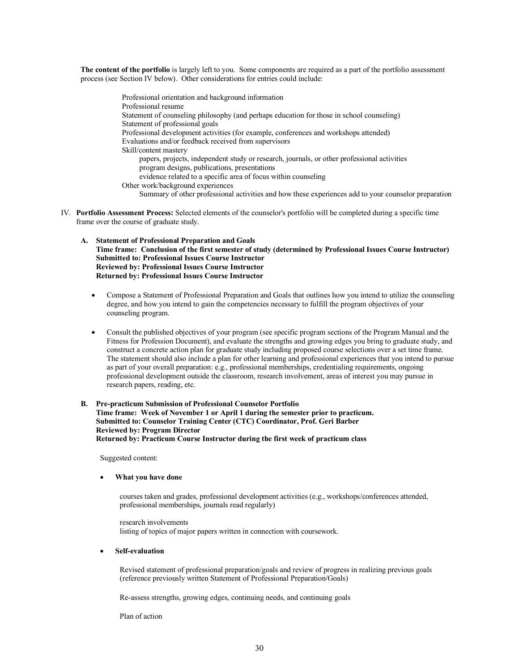**The content of the portfolio** is largely left to you. Some components are required as a part of the portfolio assessment process (see Section IV below). Other considerations for entries could include:

> Professional orientation and background information Professional resume Statement of counseling philosophy (and perhaps education for those in school counseling) Statement of professional goals Professional development activities (for example, conferences and workshops attended) Evaluations and/or feedback received from supervisors Skill/content mastery papers, projects, independent study or research, journals, or other professional activities program designs, publications, presentations evidence related to a specific area of focus within counseling Other work/background experiences Summary of other professional activities and how these experiences add to your counselor preparation

- IV. **Portfolio Assessment Process:** Selected elements of the counselor's portfolio will be completed during a specific time frame over the course of graduate study.
	- **A. Statement of Professional Preparation and Goals Time frame: Conclusion of the first semester of study (determined by Professional Issues Course Instructor) Submitted to: Professional Issues Course Instructor Reviewed by: Professional Issues Course Instructor Returned by: Professional Issues Course Instructor**
		- Compose a Statement of Professional Preparation and Goals that outlines how you intend to utilize the counseling degree, and how you intend to gain the competencies necessary to fulfill the program objectives of your counseling program.
		- Consult the published objectives of your program (see specific program sections of the Program Manual and the Fitness for Profession Document), and evaluate the strengths and growing edges you bring to graduate study, and construct a concrete action plan for graduate study including proposed course selections over a set time frame. The statement should also include a plan for other learning and professional experiences that you intend to pursue as part of your overall preparation: e.g., professional memberships, credentialing requirements, ongoing professional development outside the classroom, research involvement, areas of interest you may pursue in research papers, reading, etc.
	- **B. Pre-practicum Submission of Professional Counselor Portfolio Time frame: Week of November 1 or April 1 during the semester prior to practicum. Submitted to: Counselor Training Center (CTC) Coordinator, Prof. Geri Barber Reviewed by: Program Director Returned by: Practicum Course Instructor during the first week of practicum class**

Suggested content:

#### • **What you have done**

courses taken and grades, professional development activities (e.g., workshops/conferences attended, professional memberships, journals read regularly)

research involvements listing of topics of major papers written in connection with coursework.

#### • **Self-evaluation**

Revised statement of professional preparation/goals and review of progress in realizing previous goals (reference previously written Statement of Professional Preparation/Goals)

Re-assess strengths, growing edges, continuing needs, and continuing goals

Plan of action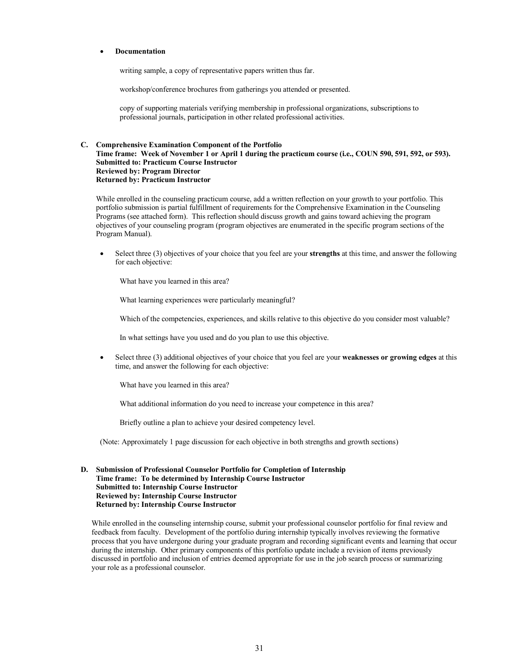#### • **Documentation**

writing sample, a copy of representative papers written thus far.

workshop/conference brochures from gatherings you attended or presented.

copy of supporting materials verifying membership in professional organizations, subscriptions to professional journals, participation in other related professional activities.

#### **C. Comprehensive Examination Component of the Portfolio Time frame: Week of November 1 or April 1 during the practicum course (i.e., COUN 590, 591, 592, or 593). Submitted to: Practicum Course Instructor Reviewed by: Program Director Returned by: Practicum Instructor**

While enrolled in the counseling practicum course, add a written reflection on your growth to your portfolio. This portfolio submission is partial fulfillment of requirements for the Comprehensive Examination in the Counseling Programs (see attached form). This reflection should discuss growth and gains toward achieving the program objectives of your counseling program (program objectives are enumerated in the specific program sections of the Program Manual).

• Select three (3) objectives of your choice that you feel are your **strengths** at this time, and answer the following for each objective:

What have you learned in this area?

What learning experiences were particularly meaningful?

Which of the competencies, experiences, and skills relative to this objective do you consider most valuable?

In what settings have you used and do you plan to use this objective.

• Select three (3) additional objectives of your choice that you feel are your **weaknesses or growing edges** at this time, and answer the following for each objective:

What have you learned in this area?

What additional information do you need to increase your competence in this area?

Briefly outline a plan to achieve your desired competency level.

(Note: Approximately 1 page discussion for each objective in both strengths and growth sections)

#### **D. Submission of Professional Counselor Portfolio for Completion of Internship Time frame: To be determined by Internship Course Instructor Submitted to: Internship Course Instructor Reviewed by: Internship Course Instructor Returned by: Internship Course Instructor**

While enrolled in the counseling internship course, submit your professional counselor portfolio for final review and feedback from faculty. Development of the portfolio during internship typically involves reviewing the formative process that you have undergone during your graduate program and recording significant events and learning that occur during the internship. Other primary components of this portfolio update include a revision of items previously discussed in portfolio and inclusion of entries deemed appropriate for use in the job search process or summarizing your role as a professional counselor.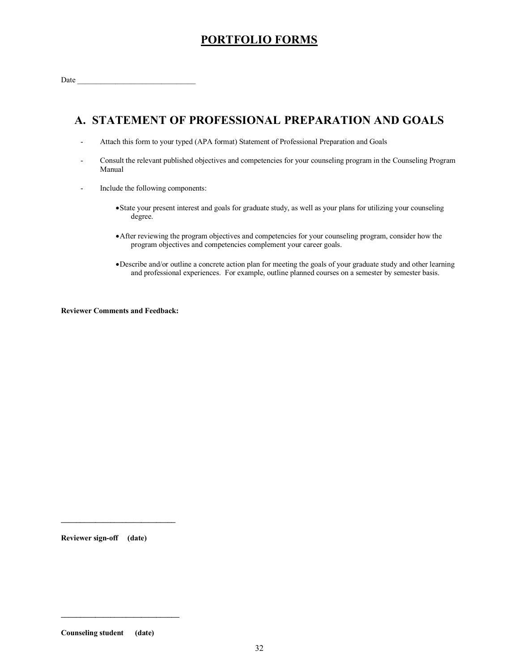# **PORTFOLIO FORMS**

# **A. STATEMENT OF PROFESSIONAL PREPARATION AND GOALS**

- Attach this form to your typed (APA format) Statement of Professional Preparation and Goals
- Consult the relevant published objectives and competencies for your counseling program in the Counseling Program Manual
- Include the following components:
	- •State your present interest and goals for graduate study, as well as your plans for utilizing your counseling degree.
	- •After reviewing the program objectives and competencies for your counseling program, consider how the program objectives and competencies complement your career goals.
	- •Describe and/or outline a concrete action plan for meeting the goals of your graduate study and other learning and professional experiences. For example, outline planned courses on a semester by semester basis.

**Reviewer Comments and Feedback:**

**Reviewer sign-off (date)**

**Counseling student (date)**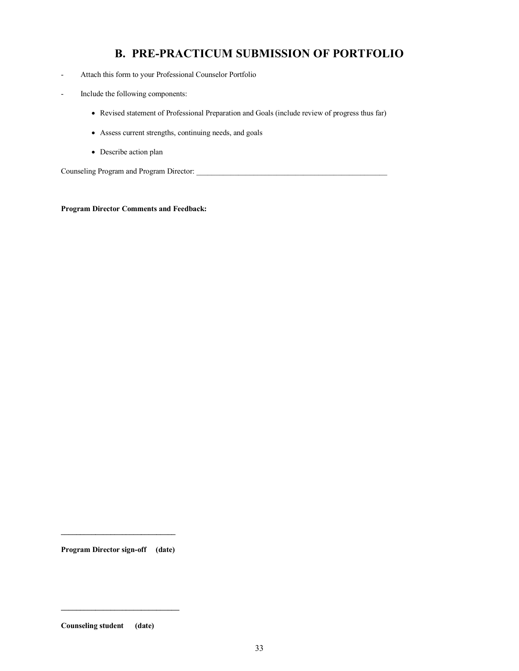# **B. PRE-PRACTICUM SUBMISSION OF PORTFOLIO**

- Attach this form to your Professional Counselor Portfolio
- Include the following components:
	- Revised statement of Professional Preparation and Goals (include review of progress thus far)
	- Assess current strengths, continuing needs, and goals
	- Describe action plan

Counseling Program and Program Director: \_\_\_\_\_\_\_\_\_\_\_\_\_\_\_\_\_\_\_\_\_\_\_\_\_\_\_\_\_\_\_\_\_\_\_\_\_\_\_\_\_\_\_\_\_\_\_\_\_\_

**Program Director Comments and Feedback:**

**Program Director sign-off (date)**

**\_\_\_\_\_\_\_\_\_\_\_\_\_\_\_\_\_\_\_\_\_\_\_\_\_\_\_\_\_\_**

**Counseling student (date)**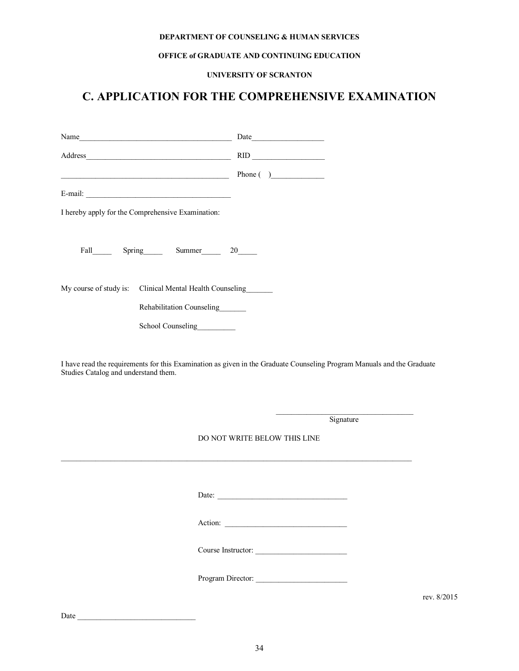#### **DEPARTMENT OF COUNSELING & HUMAN SERVICES**

#### **OFFICE of GRADUATE AND CONTINUING EDUCATION**

#### **UNIVERSITY OF SCRANTON**

# **C. APPLICATION FOR THE COMPREHENSIVE EXAMINATION**

| Name                                                     | Date                                                 |
|----------------------------------------------------------|------------------------------------------------------|
|                                                          | $\begin{tabular}{c} \bf RID \end{tabular}$           |
|                                                          | Phone $\begin{pmatrix} 0 & 1 \\ 0 & 1 \end{pmatrix}$ |
|                                                          |                                                      |
| I hereby apply for the Comprehensive Examination:        |                                                      |
|                                                          |                                                      |
|                                                          |                                                      |
|                                                          |                                                      |
| My course of study is: Clinical Mental Health Counseling |                                                      |
| Rehabilitation Counseling                                |                                                      |
| School Counseling                                        |                                                      |
|                                                          |                                                      |

I have read the requirements for this Examination as given in the Graduate Counseling Program Manuals and the Graduate Studies Catalog and understand them.

Signature

DO NOT WRITE BELOW THIS LINE

Date: \_\_\_\_\_\_\_\_\_\_\_\_\_\_\_\_\_\_\_\_\_\_\_\_\_\_\_\_\_\_\_\_\_\_

Action: \_\_\_\_\_\_\_\_\_\_\_\_\_\_\_\_\_\_\_\_\_\_\_\_\_\_\_\_\_\_\_\_

Course Instructor: \_\_\_\_\_\_\_\_\_\_\_\_\_\_\_\_\_\_\_\_\_\_\_\_

Program Director:

rev. 8/2015

Date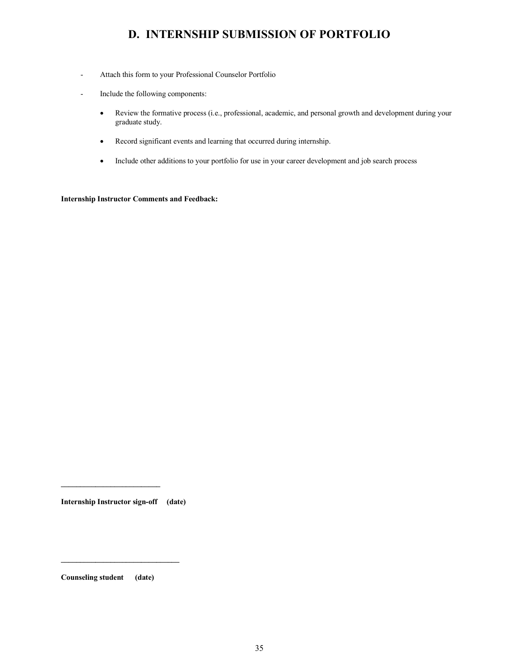# **D. INTERNSHIP SUBMISSION OF PORTFOLIO**

- Attach this form to your Professional Counselor Portfolio
- Include the following components:
	- Review the formative process (i.e., professional, academic, and personal growth and development during your graduate study.
	- Record significant events and learning that occurred during internship.
	- Include other additions to your portfolio for use in your career development and job search process

**Internship Instructor Comments and Feedback:**

**Internship Instructor sign-off (date)**

**Counseling student (date)**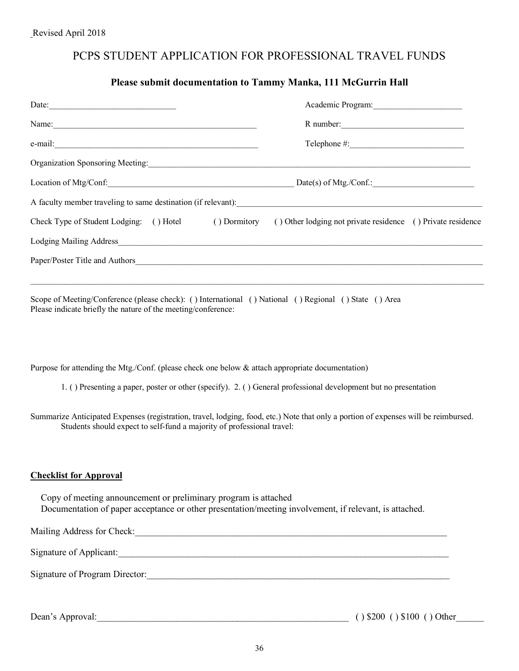# PCPS STUDENT APPLICATION FOR PROFESSIONAL TRAVEL FUNDS

#### **Please submit documentation to Tammy Manka, 111 McGurrin Hall**

| Date: $\frac{1}{\sqrt{1-\frac{1}{2}}\sqrt{1-\frac{1}{2}}\sqrt{1-\frac{1}{2}}\sqrt{1-\frac{1}{2}}\sqrt{1-\frac{1}{2}}\sqrt{1-\frac{1}{2}}\sqrt{1-\frac{1}{2}}\sqrt{1-\frac{1}{2}}\sqrt{1-\frac{1}{2}}\sqrt{1-\frac{1}{2}}\sqrt{1-\frac{1}{2}}\sqrt{1-\frac{1}{2}}\sqrt{1-\frac{1}{2}}\sqrt{1-\frac{1}{2}}\sqrt{1-\frac{1}{2}}\sqrt{1-\frac{1}{2}}\sqrt{1-\frac{1}{2}}\sqrt{1-\frac{1}{2}}\sqrt{1-\frac{1}{2}}$ | Academic Program:                                                                                                |
|---------------------------------------------------------------------------------------------------------------------------------------------------------------------------------------------------------------------------------------------------------------------------------------------------------------------------------------------------------------------------------------------------------------|------------------------------------------------------------------------------------------------------------------|
| Name: Name and the second contract of the second contract of the second contract of the second contract of the second contract of the second contract of the second contract of the second contract of the second contract of                                                                                                                                                                                 | R number:                                                                                                        |
|                                                                                                                                                                                                                                                                                                                                                                                                               |                                                                                                                  |
| Organization Sponsoring Meeting: 2008. [2010] All Allen Sponsoring Meeting:                                                                                                                                                                                                                                                                                                                                   |                                                                                                                  |
| Location of Mtg/Conf.<br>Date(s) of Mtg./Conf.:                                                                                                                                                                                                                                                                                                                                                               |                                                                                                                  |
| A faculty member traveling to same destination (if relevant):                                                                                                                                                                                                                                                                                                                                                 |                                                                                                                  |
|                                                                                                                                                                                                                                                                                                                                                                                                               | Check Type of Student Lodging: () Hotel () Dormitory () Other lodging not private residence () Private residence |
|                                                                                                                                                                                                                                                                                                                                                                                                               |                                                                                                                  |
| Paper/Poster Title and Authors                                                                                                                                                                                                                                                                                                                                                                                |                                                                                                                  |
|                                                                                                                                                                                                                                                                                                                                                                                                               |                                                                                                                  |

Scope of Meeting/Conference (please check): () International () National () Regional () State () Area Please indicate briefly the nature of the meeting/conference:

Purpose for attending the Mtg./Conf. (please check one below & attach appropriate documentation)

1. ( ) Presenting a paper, poster or other (specify). 2. ( ) General professional development but no presentation

Summarize Anticipated Expenses (registration, travel, lodging, food, etc.) Note that only a portion of expenses will be reimbursed. Students should expect to self-fund a majority of professional travel:

#### **Checklist for Approval**

 Copy of meeting announcement or preliminary program is attached Documentation of paper acceptance or other presentation/meeting involvement, if relevant, is attached.

| Mailing Address for Check:     |   |
|--------------------------------|---|
| Signature of Applicant:        |   |
| Signature of Program Director: |   |
|                                | . |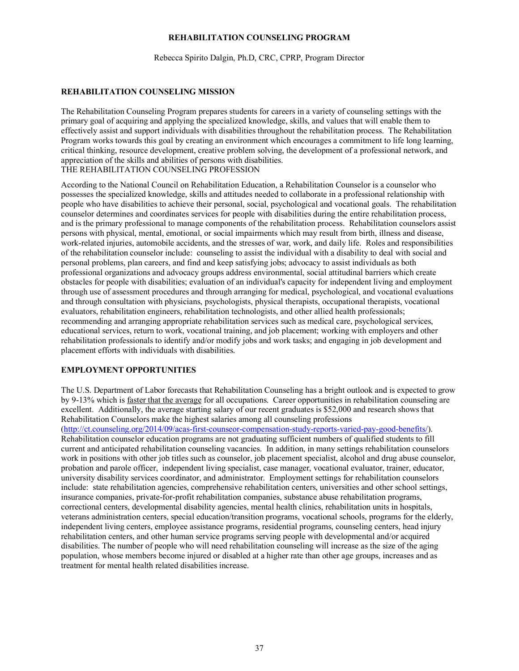#### **REHABILITATION COUNSELING PROGRAM**

Rebecca Spirito Dalgin, Ph.D, CRC, CPRP, Program Director

#### **REHABILITATION COUNSELING MISSION**

The Rehabilitation Counseling Program prepares students for careers in a variety of counseling settings with the primary goal of acquiring and applying the specialized knowledge, skills, and values that will enable them to effectively assist and support individuals with disabilities throughout the rehabilitation process. The Rehabilitation Program works towards this goal by creating an environment which encourages a commitment to life long learning, critical thinking, resource development, creative problem solving, the development of a professional network, and appreciation of the skills and abilities of persons with disabilities. THE REHABILITATION COUNSELING PROFESSION

According to the National Council on Rehabilitation Education, a Rehabilitation Counselor is a counselor who possesses the specialized knowledge, skills and attitudes needed to collaborate in a professional relationship with people who have disabilities to achieve their personal, social, psychological and vocational goals. The rehabilitation counselor determines and coordinates services for people with disabilities during the entire rehabilitation process, and is the primary professional to manage components of the rehabilitation process. Rehabilitation counselors assist persons with physical, mental, emotional, or social impairments which may result from birth, illness and disease, work-related injuries, automobile accidents, and the stresses of war, work, and daily life. Roles and responsibilities of the rehabilitation counselor include: counseling to assist the individual with a disability to deal with social and personal problems, plan careers, and find and keep satisfying jobs; advocacy to assist individuals as both professional organizations and advocacy groups address environmental, social attitudinal barriers which create obstacles for people with disabilities; evaluation of an individual's capacity for independent living and employment through use of assessment procedures and through arranging for medical, psychological, and vocational evaluations and through consultation with physicians, psychologists, physical therapists, occupational therapists, vocational evaluators, rehabilitation engineers, rehabilitation technologists, and other allied health professionals; recommending and arranging appropriate rehabilitation services such as medical care, psychological services, educational services, return to work, vocational training, and job placement; working with employers and other rehabilitation professionals to identify and/or modify jobs and work tasks; and engaging in job development and placement efforts with individuals with disabilities.

#### **EMPLOYMENT OPPORTUNITIES**

The U.S. Department of Labor forecasts that Rehabilitation Counseling has a bright outlook and is expected to grow by 9-13% which is faster that the average for all occupations. Career opportunities in rehabilitation counseling are excellent. Additionally, the average starting salary of our recent graduates is \$52,000 and research shows that Rehabilitation Counselors make the highest salaries among all counseling professions

(http://ct.counseling.org/2014/09/acas-first-counseor-compensation-study-reports-varied-pay-good-benefits/). Rehabilitation counselor education programs are not graduating sufficient numbers of qualified students to fill current and anticipated rehabilitation counseling vacancies. In addition, in many settings rehabilitation counselors work in positions with other job titles such as counselor, job placement specialist, alcohol and drug abuse counselor, probation and parole officer, independent living specialist, case manager, vocational evaluator, trainer, educator, university disability services coordinator, and administrator. Employment settings for rehabilitation counselors include: state rehabilitation agencies, comprehensive rehabilitation centers, universities and other school settings, insurance companies, private-for-profit rehabilitation companies, substance abuse rehabilitation programs, correctional centers, developmental disability agencies, mental health clinics, rehabilitation units in hospitals, veterans administration centers, special education/transition programs, vocational schools, programs for the elderly, independent living centers, employee assistance programs, residential programs, counseling centers, head injury rehabilitation centers, and other human service programs serving people with developmental and/or acquired disabilities. The number of people who will need rehabilitation counseling will increase as the size of the aging population, whose members become injured or disabled at a higher rate than other age groups, increases and as treatment for mental health related disabilities increase.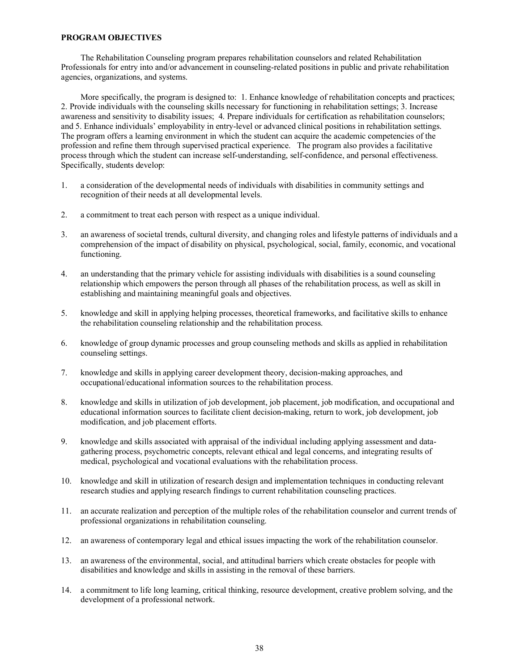#### **PROGRAM OBJECTIVES**

The Rehabilitation Counseling program prepares rehabilitation counselors and related Rehabilitation Professionals for entry into and/or advancement in counseling-related positions in public and private rehabilitation agencies, organizations, and systems.

More specifically, the program is designed to: 1. Enhance knowledge of rehabilitation concepts and practices; 2. Provide individuals with the counseling skills necessary for functioning in rehabilitation settings; 3. Increase awareness and sensitivity to disability issues; 4. Prepare individuals for certification as rehabilitation counselors; and 5. Enhance individuals' employability in entry-level or advanced clinical positions in rehabilitation settings. The program offers a learning environment in which the student can acquire the academic competencies of the profession and refine them through supervised practical experience. The program also provides a facilitative process through which the student can increase self-understanding, self-confidence, and personal effectiveness. Specifically, students develop:

- 1. a consideration of the developmental needs of individuals with disabilities in community settings and recognition of their needs at all developmental levels.
- 2. a commitment to treat each person with respect as a unique individual.
- 3. an awareness of societal trends, cultural diversity, and changing roles and lifestyle patterns of individuals and a comprehension of the impact of disability on physical, psychological, social, family, economic, and vocational functioning.
- 4. an understanding that the primary vehicle for assisting individuals with disabilities is a sound counseling relationship which empowers the person through all phases of the rehabilitation process, as well as skill in establishing and maintaining meaningful goals and objectives.
- 5. knowledge and skill in applying helping processes, theoretical frameworks, and facilitative skills to enhance the rehabilitation counseling relationship and the rehabilitation process.
- 6. knowledge of group dynamic processes and group counseling methods and skills as applied in rehabilitation counseling settings.
- 7. knowledge and skills in applying career development theory, decision-making approaches, and occupational/educational information sources to the rehabilitation process.
- 8. knowledge and skills in utilization of job development, job placement, job modification, and occupational and educational information sources to facilitate client decision-making, return to work, job development, job modification, and job placement efforts.
- 9. knowledge and skills associated with appraisal of the individual including applying assessment and datagathering process, psychometric concepts, relevant ethical and legal concerns, and integrating results of medical, psychological and vocational evaluations with the rehabilitation process.
- 10. knowledge and skill in utilization of research design and implementation techniques in conducting relevant research studies and applying research findings to current rehabilitation counseling practices.
- 11. an accurate realization and perception of the multiple roles of the rehabilitation counselor and current trends of professional organizations in rehabilitation counseling.
- 12. an awareness of contemporary legal and ethical issues impacting the work of the rehabilitation counselor.
- 13. an awareness of the environmental, social, and attitudinal barriers which create obstacles for people with disabilities and knowledge and skills in assisting in the removal of these barriers.
- 14. a commitment to life long learning, critical thinking, resource development, creative problem solving, and the development of a professional network.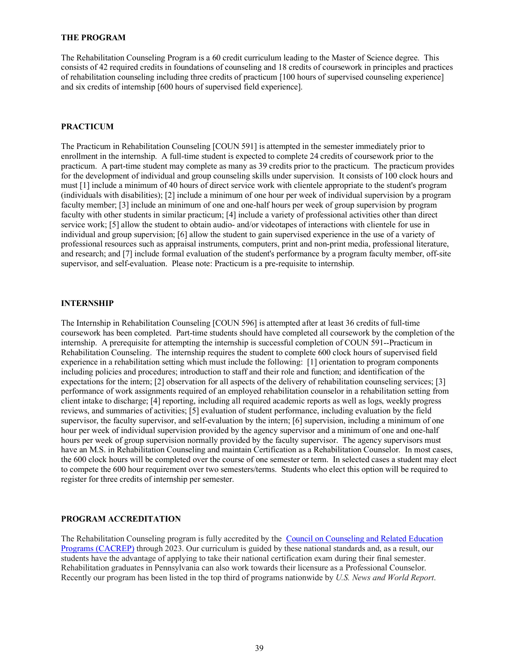#### **THE PROGRAM**

The Rehabilitation Counseling Program is a 60 credit curriculum leading to the Master of Science degree. This consists of 42 required credits in foundations of counseling and 18 credits of coursework in principles and practices of rehabilitation counseling including three credits of practicum [100 hours of supervised counseling experience] and six credits of internship [600 hours of supervised field experience].

#### **PRACTICUM**

The Practicum in Rehabilitation Counseling [COUN 591] is attempted in the semester immediately prior to enrollment in the internship. A full-time student is expected to complete 24 credits of coursework prior to the practicum. A part-time student may complete as many as 39 credits prior to the practicum. The practicum provides for the development of individual and group counseling skills under supervision. It consists of 100 clock hours and must [1] include a minimum of 40 hours of direct service work with clientele appropriate to the student's program (individuals with disabilities); [2] include a minimum of one hour per week of individual supervision by a program faculty member; [3] include an minimum of one and one-half hours per week of group supervision by program faculty with other students in similar practicum; [4] include a variety of professional activities other than direct service work; [5] allow the student to obtain audio- and/or videotapes of interactions with clientele for use in individual and group supervision; [6] allow the student to gain supervised experience in the use of a variety of professional resources such as appraisal instruments, computers, print and non-print media, professional literature, and research; and [7] include formal evaluation of the student's performance by a program faculty member, off-site supervisor, and self-evaluation. Please note: Practicum is a pre-requisite to internship.

#### **INTERNSHIP**

The Internship in Rehabilitation Counseling [COUN 596] is attempted after at least 36 credits of full-time coursework has been completed. Part-time students should have completed all coursework by the completion of the internship. A prerequisite for attempting the internship is successful completion of COUN 591--Practicum in Rehabilitation Counseling. The internship requires the student to complete 600 clock hours of supervised field experience in a rehabilitation setting which must include the following: [1] orientation to program components including policies and procedures; introduction to staff and their role and function; and identification of the expectations for the intern; [2] observation for all aspects of the delivery of rehabilitation counseling services; [3] performance of work assignments required of an employed rehabilitation counselor in a rehabilitation setting from client intake to discharge; [4] reporting, including all required academic reports as well as logs, weekly progress reviews, and summaries of activities; [5] evaluation of student performance, including evaluation by the field supervisor, the faculty supervisor, and self-evaluation by the intern; [6] supervision, including a minimum of one hour per week of individual supervision provided by the agency supervisor and a minimum of one and one-half hours per week of group supervision normally provided by the faculty supervisor. The agency supervisors must have an M.S. in Rehabilitation Counseling and maintain Certification as a Rehabilitation Counselor. In most cases, the 600 clock hours will be completed over the course of one semester or term. In selected cases a student may elect to compete the 600 hour requirement over two semesters/terms. Students who elect this option will be required to register for three credits of internship per semester.

#### **PROGRAM ACCREDITATION**

The Rehabilitation Counseling program is fully accredited by the Council on Counseling and Related Education Programs (CACREP) through 2023. Our curriculum is guided by these national standards and, as a result, our students have the advantage of applying to take their national certification exam during their final semester. Rehabilitation graduates in Pennsylvania can also work towards their licensure as a Professional Counselor. Recently our program has been listed in the top third of programs nationwide by *U.S. News and World Report*.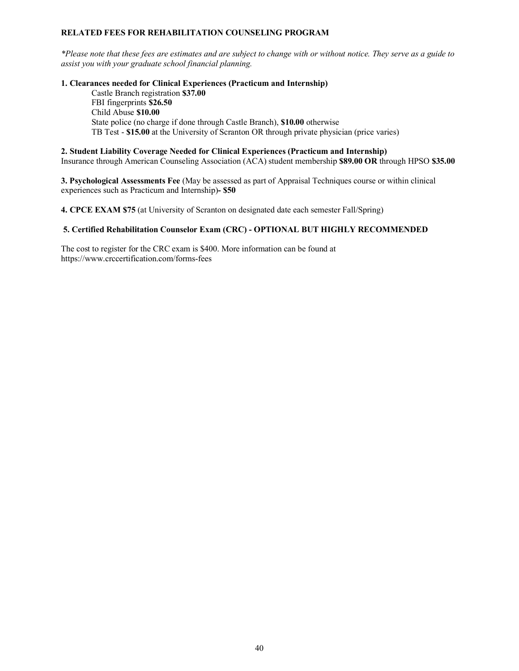#### **RELATED FEES FOR REHABILITATION COUNSELING PROGRAM**

*\*Please note that these fees are estimates and are subject to change with or without notice. They serve as a guide to assist you with your graduate school financial planning.*

#### **1. Clearances needed for Clinical Experiences (Practicum and Internship)**

Castle Branch registration **\$37.00** FBI fingerprints **\$26.50** Child Abuse **\$10.00** State police (no charge if done through Castle Branch), **\$10.00** otherwise TB Test - **\$15.00** at the University of Scranton OR through private physician (price varies)

#### **2. Student Liability Coverage Needed for Clinical Experiences (Practicum and Internship)**

Insurance through American Counseling Association (ACA) student membership **\$89.00 OR** through HPSO **\$35.00**

**3. Psychological Assessments Fee** (May be assessed as part of Appraisal Techniques course or within clinical experiences such as Practicum and Internship)**- \$50**

**4. CPCE EXAM \$75** (at University of Scranton on designated date each semester Fall/Spring)

#### **5. Certified Rehabilitation Counselor Exam (CRC) - OPTIONAL BUT HIGHLY RECOMMENDED**

The cost to register for the CRC exam is \$400. More information can be found at https://www.crccertification.com/forms-fees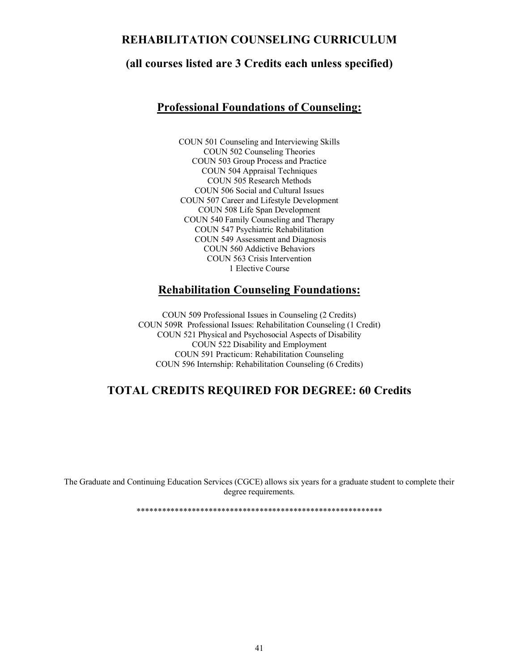### **REHABILITATION COUNSELING CURRICULUM**

### **(all courses listed are 3 Credits each unless specified)**

### **Professional Foundations of Counseling:**

COUN 501 Counseling and Interviewing Skills COUN 502 Counseling Theories COUN 503 Group Process and Practice COUN 504 Appraisal Techniques COUN 505 Research Methods COUN 506 Social and Cultural Issues COUN 507 Career and Lifestyle Development COUN 508 Life Span Development COUN 540 Family Counseling and Therapy COUN 547 Psychiatric Rehabilitation COUN 549 Assessment and Diagnosis COUN 560 Addictive Behaviors COUN 563 Crisis Intervention 1 Elective Course

### **Rehabilitation Counseling Foundations:**

COUN 509 Professional Issues in Counseling (2 Credits) COUN 509R Professional Issues: Rehabilitation Counseling (1 Credit) COUN 521 Physical and Psychosocial Aspects of Disability COUN 522 Disability and Employment COUN 591 Practicum: Rehabilitation Counseling COUN 596 Internship: Rehabilitation Counseling (6 Credits)

# **TOTAL CREDITS REQUIRED FOR DEGREE: 60 Credits**

The Graduate and Continuing Education Services (CGCE) allows six years for a graduate student to complete their degree requirements.

\*\*\*\*\*\*\*\*\*\*\*\*\*\*\*\*\*\*\*\*\*\*\*\*\*\*\*\*\*\*\*\*\*\*\*\*\*\*\*\*\*\*\*\*\*\*\*\*\*\*\*\*\*\*\*\*\*\*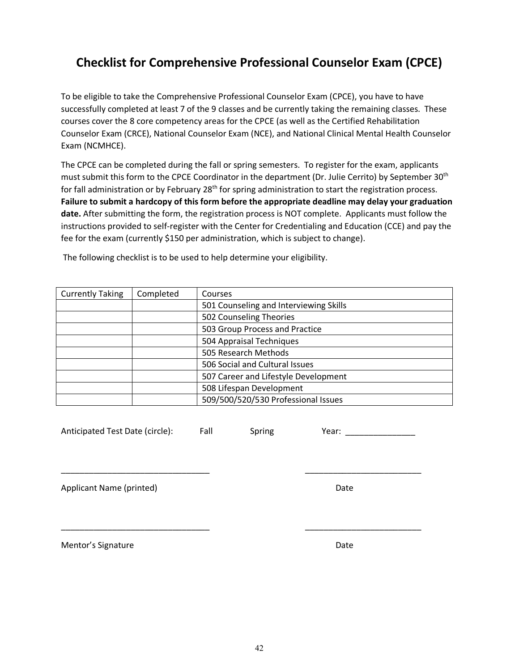# **Checklist for Comprehensive Professional Counselor Exam (CPCE)**

To be eligible to take the Comprehensive Professional Counselor Exam (CPCE), you have to have successfully completed at least 7 of the 9 classes and be currently taking the remaining classes. These courses cover the 8 core competency areas for the CPCE (as well as the Certified Rehabilitation Counselor Exam (CRCE), National Counselor Exam (NCE), and National Clinical Mental Health Counselor Exam (NCMHCE).

The CPCE can be completed during the fall or spring semesters. To register for the exam, applicants must submit this form to the CPCE Coordinator in the department (Dr. Julie Cerrito) by September 30<sup>th</sup> for fall administration or by February 28<sup>th</sup> for spring administration to start the registration process. **Failure to submit a hardcopy of this form before the appropriate deadline may delay your graduation date.** After submitting the form, the registration process is NOT complete. Applicants must follow the instructions provided to self-register with the Center for Credentialing and Education (CCE) and pay the fee for the exam (currently \$150 per administration, which is subject to change).

| <b>Currently Taking</b> | Completed | Courses                                |
|-------------------------|-----------|----------------------------------------|
|                         |           | 501 Counseling and Interviewing Skills |
|                         |           | 502 Counseling Theories                |
|                         |           | 503 Group Process and Practice         |
|                         |           | 504 Appraisal Techniques               |
|                         |           | 505 Research Methods                   |
|                         |           | 506 Social and Cultural Issues         |
|                         |           | 507 Career and Lifestyle Development   |
|                         |           | 508 Lifespan Development               |
|                         |           | 509/500/520/530 Professional Issues    |

\_\_\_\_\_\_\_\_\_\_\_\_\_\_\_\_\_\_\_\_\_\_\_\_\_\_\_\_\_\_\_\_ \_\_\_\_\_\_\_\_\_\_\_\_\_\_\_\_\_\_\_\_\_\_\_\_\_

\_\_\_\_\_\_\_\_\_\_\_\_\_\_\_\_\_\_\_\_\_\_\_\_\_\_\_\_\_\_\_\_ \_\_\_\_\_\_\_\_\_\_\_\_\_\_\_\_\_\_\_\_\_\_\_\_\_

The following checklist is to be used to help determine your eligibility.

Anticipated Test Date (circle): Fall Spring Year: \_\_\_\_\_\_\_\_\_\_\_\_\_\_\_\_\_\_\_\_\_\_\_\_\_\_\_\_\_\_

Applicant Name (printed) and a set of the Date of the Date of the Date of the Date of the Date of the Date of the Date of the Date of the Date of the Date of the Date of the Date of the Date of the Date of the Date of the

Mentor's Signature Date Date